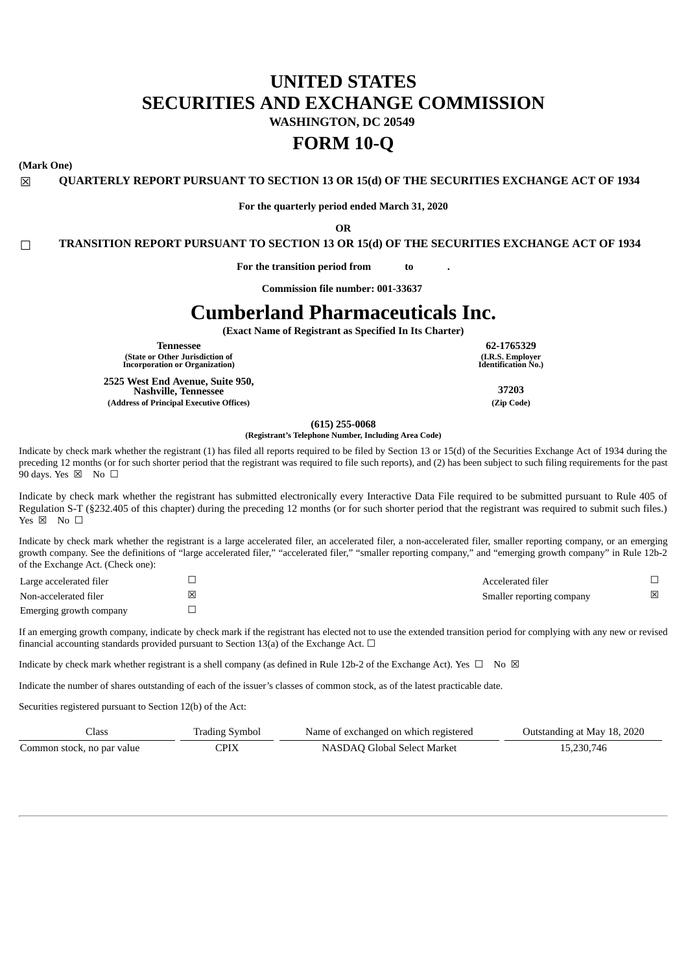# **UNITED STATES SECURITIES AND EXCHANGE COMMISSION WASHINGTON, DC 20549**

# **FORM 10-Q**

**(Mark One)**

☒ **QUARTERLY REPORT PURSUANT TO SECTION 13 OR 15(d) OF THE SECURITIES EXCHANGE ACT OF 1934**

**For the quarterly period ended March 31, 2020**

**OR**

☐ **TRANSITION REPORT PURSUANT TO SECTION 13 OR 15(d) OF THE SECURITIES EXCHANGE ACT OF 1934**

**For the transition period from to .**

**Commission file number: 001-33637**

# **Cumberland Pharmaceuticals Inc.**

**(Exact Name of Registrant as Specified In Its Charter)**

**Tennessee 62-1765329 (State or Other Jurisdiction of Incorporation or Organization)**

**2525 West End Avenue, Suite 950, Nashville, Tennessee 37203 (Address of Principal Executive Offices) (Zip Code)**

**(I.R.S. Employer Identification No.)**

**(615) 255-0068**

**(Registrant's Telephone Number, Including Area Code)**

Indicate by check mark whether the registrant (1) has filed all reports required to be filed by Section 13 or 15(d) of the Securities Exchange Act of 1934 during the preceding 12 months (or for such shorter period that the registrant was required to file such reports), and (2) has been subject to such filing requirements for the past 90 days. Yes  $\boxtimes$  No  $\square$ 

Indicate by check mark whether the registrant has submitted electronically every Interactive Data File required to be submitted pursuant to Rule 405 of Regulation S-T (§232.405 of this chapter) during the preceding 12 months (or for such shorter period that the registrant was required to submit such files.)  $Yes \boxtimes \text{No } \square$ 

Indicate by check mark whether the registrant is a large accelerated filer, an accelerated filer, a non-accelerated filer, smaller reporting company, or an emerging growth company. See the definitions of "large accelerated filer," "accelerated filer," "smaller reporting company," and "emerging growth company" in Rule 12b-2 of the Exchange Act. (Check one):

| Large accelerated filer | Accelerated filer         |   |
|-------------------------|---------------------------|---|
| Non-accelerated filer   | Smaller reporting company | ⊠ |
| Emerging growth company |                           |   |

If an emerging growth company, indicate by check mark if the registrant has elected not to use the extended transition period for complying with any new or revised financial accounting standards provided pursuant to Section 13(a) of the Exchange Act.  $\Box$ 

Indicate by check mark whether registrant is a shell company (as defined in Rule 12b-2 of the Exchange Act). Yes  $\Box$  No  $\boxtimes$ 

Indicate the number of shares outstanding of each of the issuer's classes of common stock, as of the latest practicable date.

Securities registered pursuant to Section 12(b) of the Act:

| Class                      | <b>Trading Symbol</b> | Name of exchanged on which registered | Outstanding at May 18, 2020 |
|----------------------------|-----------------------|---------------------------------------|-----------------------------|
| Common stock, no par value | CPIX                  | NASDAQ Global Select Market           | 15,230,746                  |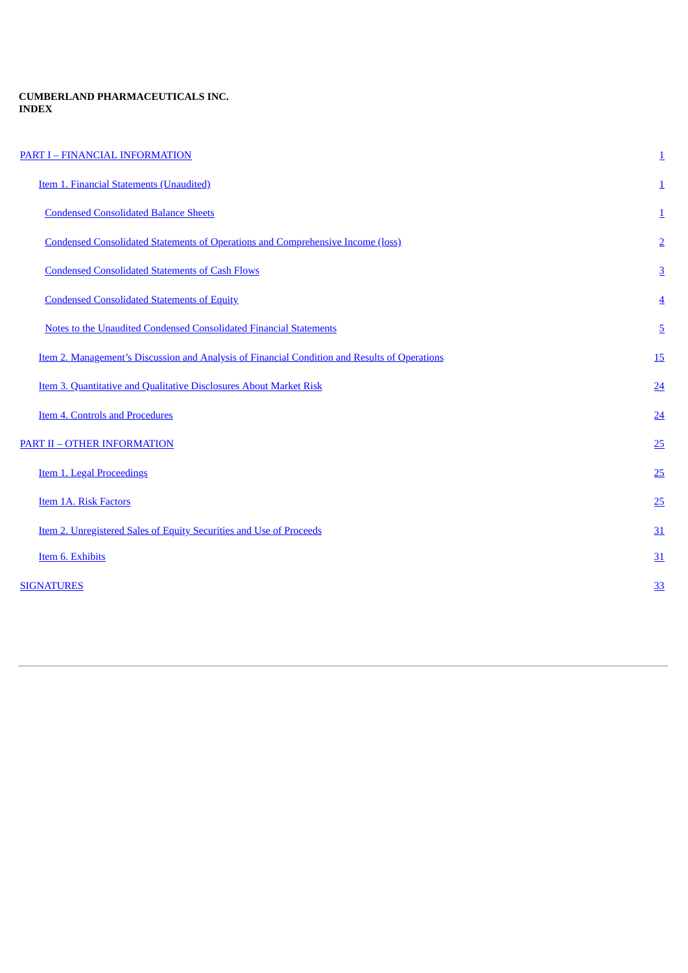# **CUMBERLAND PHARMACEUTICALS INC. INDEX**

<span id="page-1-0"></span>

| <b>PART I - FINANCIAL INFORMATION</b>                                                         | $\overline{\mathbf{1}}$ |
|-----------------------------------------------------------------------------------------------|-------------------------|
| <b>Item 1. Financial Statements (Unaudited)</b>                                               | $\overline{1}$          |
| <b>Condensed Consolidated Balance Sheets</b>                                                  | $\overline{1}$          |
| <b>Condensed Consolidated Statements of Operations and Comprehensive Income (loss)</b>        | $\overline{2}$          |
| <b>Condensed Consolidated Statements of Cash Flows</b>                                        | $\overline{3}$          |
| <b>Condensed Consolidated Statements of Equity</b>                                            | $\overline{4}$          |
| <b>Notes to the Unaudited Condensed Consolidated Financial Statements</b>                     | $\overline{5}$          |
| Item 2. Management's Discussion and Analysis of Financial Condition and Results of Operations | <u>15</u>               |
| Item 3. Quantitative and Qualitative Disclosures About Market Risk                            | 24                      |
| <b>Item 4. Controls and Procedures</b>                                                        | $\overline{24}$         |
| <b>PART II - OTHER INFORMATION</b>                                                            | 25                      |
| <b>Item 1. Legal Proceedings</b>                                                              | 25                      |
| <b>Item 1A. Risk Factors</b>                                                                  | 25                      |
| Item 2. Unregistered Sales of Equity Securities and Use of Proceeds                           | 31                      |
| Item 6. Exhibits                                                                              | 31                      |
| <b>SIGNATURES</b>                                                                             | <u>33</u>               |
|                                                                                               |                         |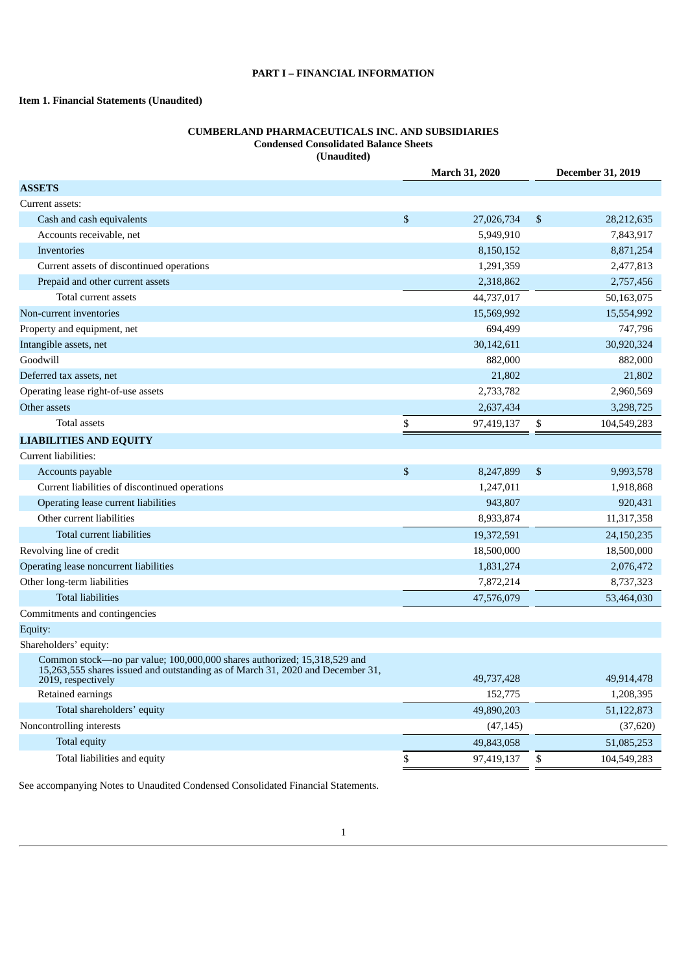# **PART I – FINANCIAL INFORMATION**

# <span id="page-2-1"></span><span id="page-2-0"></span>**Item 1. Financial Statements (Unaudited)**

# **CUMBERLAND PHARMACEUTICALS INC. AND SUBSIDIARIES Condensed Consolidated Balance Sheets (Unaudited)**

|                                                                                                                                                                                  | March 31, 2020 |            |    | <b>December 31, 2019</b> |  |  |
|----------------------------------------------------------------------------------------------------------------------------------------------------------------------------------|----------------|------------|----|--------------------------|--|--|
| <b>ASSETS</b>                                                                                                                                                                    |                |            |    |                          |  |  |
| Current assets:                                                                                                                                                                  |                |            |    |                          |  |  |
| Cash and cash equivalents                                                                                                                                                        | \$             | 27,026,734 | \$ | 28,212,635               |  |  |
| Accounts receivable, net                                                                                                                                                         |                | 5,949,910  |    | 7,843,917                |  |  |
| <b>Inventories</b>                                                                                                                                                               |                | 8,150,152  |    | 8,871,254                |  |  |
| Current assets of discontinued operations                                                                                                                                        |                | 1,291,359  |    | 2,477,813                |  |  |
| Prepaid and other current assets                                                                                                                                                 |                | 2,318,862  |    | 2,757,456                |  |  |
| Total current assets                                                                                                                                                             |                | 44,737,017 |    | 50,163,075               |  |  |
| Non-current inventories                                                                                                                                                          |                | 15,569,992 |    | 15,554,992               |  |  |
| Property and equipment, net                                                                                                                                                      |                | 694,499    |    | 747,796                  |  |  |
| Intangible assets, net                                                                                                                                                           |                | 30,142,611 |    | 30,920,324               |  |  |
| Goodwill                                                                                                                                                                         |                | 882,000    |    | 882,000                  |  |  |
| Deferred tax assets, net                                                                                                                                                         |                | 21,802     |    | 21,802                   |  |  |
| Operating lease right-of-use assets                                                                                                                                              |                | 2,733,782  |    | 2,960,569                |  |  |
| Other assets                                                                                                                                                                     |                | 2,637,434  |    | 3,298,725                |  |  |
| <b>Total assets</b>                                                                                                                                                              | \$             | 97,419,137 | \$ | 104,549,283              |  |  |
| <b>LIABILITIES AND EQUITY</b>                                                                                                                                                    |                |            |    |                          |  |  |
| Current liabilities:                                                                                                                                                             |                |            |    |                          |  |  |
| Accounts payable                                                                                                                                                                 | \$             | 8,247,899  | \$ | 9,993,578                |  |  |
| Current liabilities of discontinued operations                                                                                                                                   |                | 1,247,011  |    | 1,918,868                |  |  |
| Operating lease current liabilities                                                                                                                                              |                | 943,807    |    | 920,431                  |  |  |
| Other current liabilities                                                                                                                                                        |                | 8,933,874  |    | 11,317,358               |  |  |
| Total current liabilities                                                                                                                                                        |                | 19,372,591 |    | 24,150,235               |  |  |
| Revolving line of credit                                                                                                                                                         |                | 18,500,000 |    | 18,500,000               |  |  |
| Operating lease noncurrent liabilities                                                                                                                                           |                | 1,831,274  |    | 2,076,472                |  |  |
| Other long-term liabilities                                                                                                                                                      |                | 7,872,214  |    | 8,737,323                |  |  |
| <b>Total liabilities</b>                                                                                                                                                         |                | 47,576,079 |    | 53,464,030               |  |  |
| Commitments and contingencies                                                                                                                                                    |                |            |    |                          |  |  |
| Equity:                                                                                                                                                                          |                |            |    |                          |  |  |
| Shareholders' equity:                                                                                                                                                            |                |            |    |                          |  |  |
| Common stock—no par value; 100,000,000 shares authorized; 15,318,529 and<br>15,263,555 shares issued and outstanding as of March 31, 2020 and December 31,<br>2019, respectively |                | 49,737,428 |    | 49,914,478               |  |  |
| Retained earnings                                                                                                                                                                |                | 152,775    |    | 1,208,395                |  |  |
| Total shareholders' equity                                                                                                                                                       |                | 49,890,203 |    | 51,122,873               |  |  |
| Noncontrolling interests                                                                                                                                                         |                | (47, 145)  |    | (37, 620)                |  |  |
| Total equity                                                                                                                                                                     |                | 49,843,058 |    | 51,085,253               |  |  |
| Total liabilities and equity                                                                                                                                                     | \$             | 97,419,137 | \$ | 104,549,283              |  |  |

<span id="page-2-2"></span>See accompanying Notes to Unaudited Condensed Consolidated Financial Statements.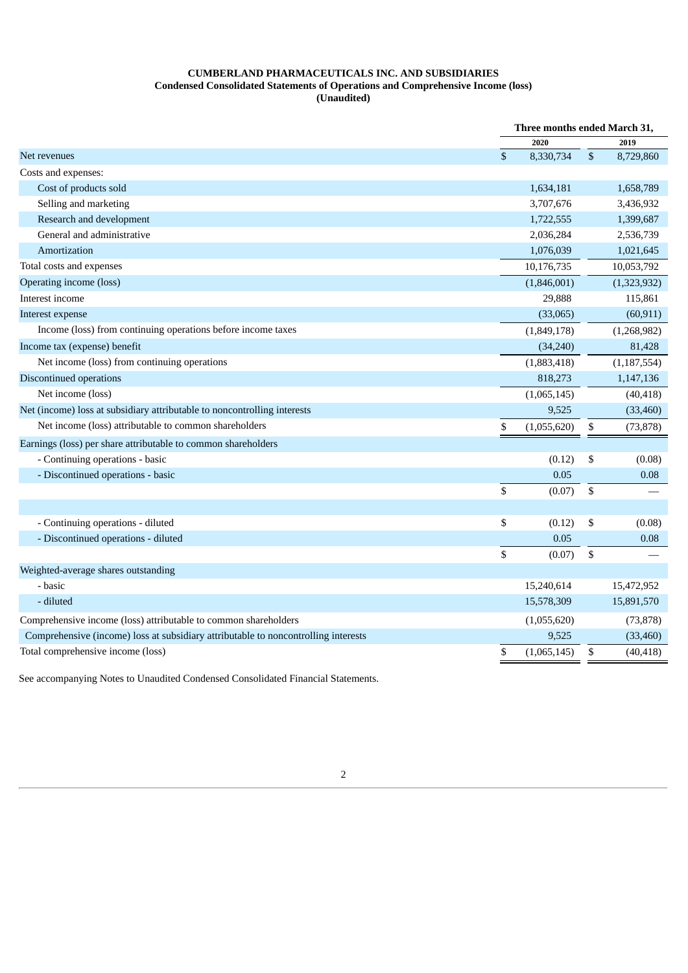# **CUMBERLAND PHARMACEUTICALS INC. AND SUBSIDIARIES Condensed Consolidated Statements of Operations and Comprehensive Income (loss) (Unaudited)**

|                                                                                    | Three months ended March 31, |    |               |
|------------------------------------------------------------------------------------|------------------------------|----|---------------|
|                                                                                    | 2020                         |    | 2019          |
| Net revenues                                                                       | \$<br>8,330,734              | \$ | 8,729,860     |
| Costs and expenses:                                                                |                              |    |               |
| Cost of products sold                                                              | 1,634,181                    |    | 1,658,789     |
| Selling and marketing                                                              | 3,707,676                    |    | 3,436,932     |
| Research and development                                                           | 1,722,555                    |    | 1,399,687     |
| General and administrative                                                         | 2,036,284                    |    | 2,536,739     |
| Amortization                                                                       | 1,076,039                    |    | 1,021,645     |
| Total costs and expenses                                                           | 10,176,735                   |    | 10,053,792    |
| Operating income (loss)                                                            | (1,846,001)                  |    | (1,323,932)   |
| Interest income                                                                    | 29,888                       |    | 115,861       |
| Interest expense                                                                   | (33,065)                     |    | (60, 911)     |
| Income (loss) from continuing operations before income taxes                       | (1,849,178)                  |    | (1,268,982)   |
| Income tax (expense) benefit                                                       | (34,240)                     |    | 81,428        |
| Net income (loss) from continuing operations                                       | (1,883,418)                  |    | (1, 187, 554) |
| Discontinued operations                                                            | 818,273                      |    | 1,147,136     |
| Net income (loss)                                                                  | (1,065,145)                  |    | (40, 418)     |
| Net (income) loss at subsidiary attributable to noncontrolling interests           | 9,525                        |    | (33, 460)     |
| Net income (loss) attributable to common shareholders                              | \$<br>(1,055,620)            | \$ | (73, 878)     |
| Earnings (loss) per share attributable to common shareholders                      |                              |    |               |
| - Continuing operations - basic                                                    | (0.12)                       | \$ | (0.08)        |
| - Discontinued operations - basic                                                  | 0.05                         |    | 0.08          |
|                                                                                    | \$<br>(0.07)                 | \$ |               |
|                                                                                    |                              |    |               |
| - Continuing operations - diluted                                                  | \$<br>(0.12)                 | \$ | (0.08)        |
| - Discontinued operations - diluted                                                | 0.05                         |    | 0.08          |
|                                                                                    | \$<br>(0.07)                 | \$ |               |
| Weighted-average shares outstanding                                                |                              |    |               |
| - basic                                                                            | 15,240,614                   |    | 15,472,952    |
| - diluted                                                                          | 15,578,309                   |    | 15,891,570    |
| Comprehensive income (loss) attributable to common shareholders                    | (1,055,620)                  |    | (73, 878)     |
| Comprehensive (income) loss at subsidiary attributable to noncontrolling interests | 9,525                        |    | (33, 460)     |
| Total comprehensive income (loss)                                                  | \$<br>(1,065,145)            | \$ | (40, 418)     |

<span id="page-3-0"></span>See accompanying Notes to Unaudited Condensed Consolidated Financial Statements.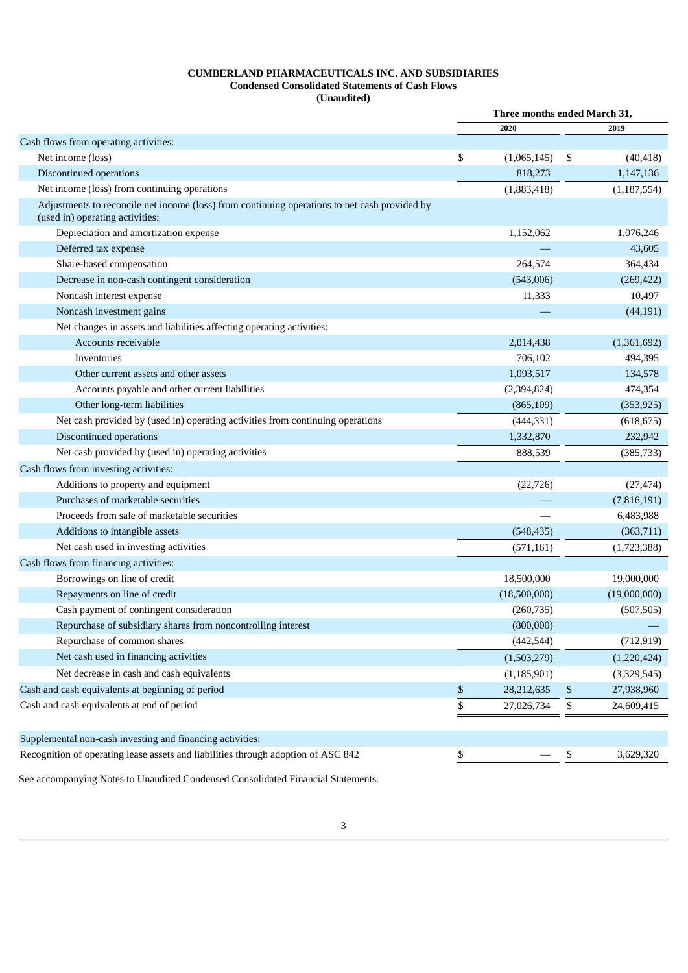# **CUMBERLAND PHARMACEUTICALS INC. AND SUBSIDIARIES Condensed Consolidated Statements of Cash Flows (Unaudited)**

|                                                                                                                                  | Three months ended March 31, |               |    |               |  |
|----------------------------------------------------------------------------------------------------------------------------------|------------------------------|---------------|----|---------------|--|
|                                                                                                                                  |                              | 2020          |    | 2019          |  |
| Cash flows from operating activities:                                                                                            |                              |               |    |               |  |
| Net income (loss)                                                                                                                | \$                           | (1,065,145)   | \$ | (40, 418)     |  |
| Discontinued operations                                                                                                          |                              | 818,273       |    | 1,147,136     |  |
| Net income (loss) from continuing operations                                                                                     |                              | (1,883,418)   |    | (1, 187, 554) |  |
| Adjustments to reconcile net income (loss) from continuing operations to net cash provided by<br>(used in) operating activities: |                              |               |    |               |  |
| Depreciation and amortization expense                                                                                            |                              | 1,152,062     |    | 1,076,246     |  |
| Deferred tax expense                                                                                                             |                              |               |    | 43,605        |  |
| Share-based compensation                                                                                                         |                              | 264,574       |    | 364,434       |  |
| Decrease in non-cash contingent consideration                                                                                    |                              | (543,006)     |    | (269, 422)    |  |
| Noncash interest expense                                                                                                         |                              | 11,333        |    | 10,497        |  |
| Noncash investment gains                                                                                                         |                              |               |    | (44, 191)     |  |
| Net changes in assets and liabilities affecting operating activities:                                                            |                              |               |    |               |  |
| Accounts receivable                                                                                                              |                              | 2,014,438     |    | (1,361,692)   |  |
| Inventories                                                                                                                      |                              | 706,102       |    | 494,395       |  |
| Other current assets and other assets                                                                                            |                              | 1,093,517     |    | 134,578       |  |
| Accounts payable and other current liabilities                                                                                   |                              | (2,394,824)   |    | 474,354       |  |
| Other long-term liabilities                                                                                                      |                              | (865, 109)    |    | (353, 925)    |  |
| Net cash provided by (used in) operating activities from continuing operations                                                   |                              | (444, 331)    |    | (618, 675)    |  |
| Discontinued operations                                                                                                          |                              | 1,332,870     |    | 232,942       |  |
| Net cash provided by (used in) operating activities                                                                              |                              | 888,539       |    | (385, 733)    |  |
| Cash flows from investing activities:                                                                                            |                              |               |    |               |  |
| Additions to property and equipment                                                                                              |                              | (22, 726)     |    | (27, 474)     |  |
| Purchases of marketable securities                                                                                               |                              |               |    | (7,816,191)   |  |
| Proceeds from sale of marketable securities                                                                                      |                              |               |    | 6,483,988     |  |
| Additions to intangible assets                                                                                                   |                              | (548, 435)    |    | (363,711)     |  |
| Net cash used in investing activities                                                                                            |                              | (571, 161)    |    | (1,723,388)   |  |
| Cash flows from financing activities:                                                                                            |                              |               |    |               |  |
| Borrowings on line of credit                                                                                                     |                              | 18,500,000    |    | 19,000,000    |  |
| Repayments on line of credit                                                                                                     |                              | (18,500,000)  |    | (19,000,000)  |  |
| Cash payment of contingent consideration                                                                                         |                              | (260, 735)    |    | (507, 505)    |  |
| Repurchase of subsidiary shares from noncontrolling interest                                                                     |                              | (800,000)     |    |               |  |
| Repurchase of common shares                                                                                                      |                              | (442, 544)    |    | (712, 919)    |  |
| Net cash used in financing activities                                                                                            |                              | (1,503,279)   |    | (1,220,424)   |  |
| Net decrease in cash and cash equivalents                                                                                        |                              | (1, 185, 901) |    | (3,329,545)   |  |
| Cash and cash equivalents at beginning of period                                                                                 | \$                           | 28,212,635    | \$ | 27,938,960    |  |
| Cash and cash equivalents at end of period                                                                                       | \$                           | 27,026,734    | \$ | 24,609,415    |  |
|                                                                                                                                  |                              |               |    |               |  |
| Supplemental non-cash investing and financing activities:                                                                        |                              |               |    |               |  |
| Recognition of operating lease assets and liabilities through adoption of ASC 842                                                | \$                           |               | \$ | 3,629,320     |  |
|                                                                                                                                  |                              |               |    |               |  |

<span id="page-4-0"></span>See accompanying Notes to Unaudited Condensed Consolidated Financial Statements.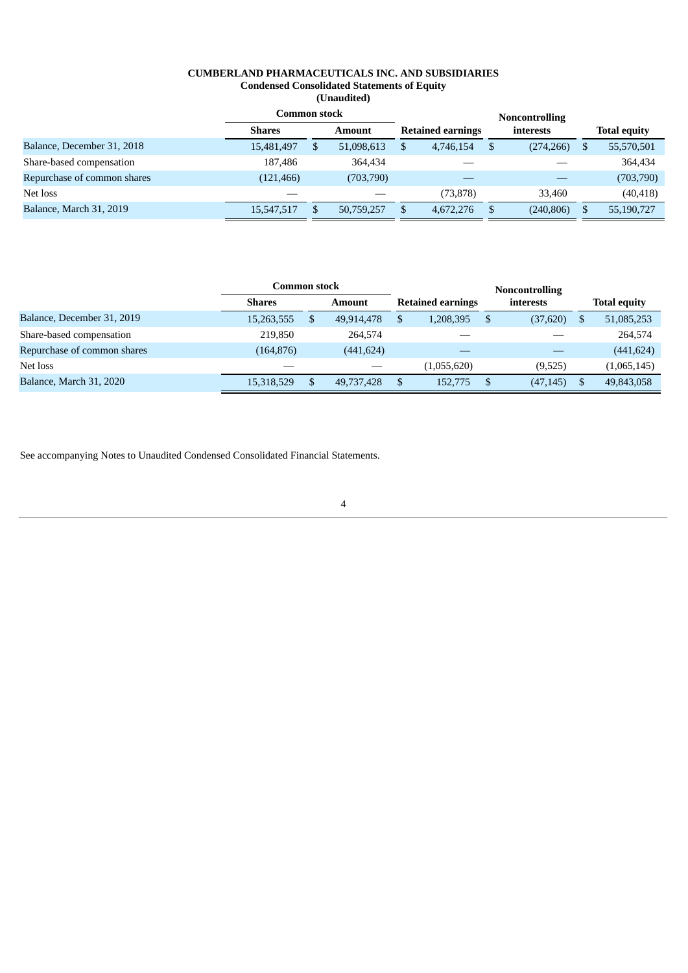# **CUMBERLAND PHARMACEUTICALS INC. AND SUBSIDIARIES Condensed Consolidated Statements of Equity (Unaudited)**

|                             | Common stock  |   |               |    |                          |   |            |   |                     |
|-----------------------------|---------------|---|---------------|----|--------------------------|---|------------|---|---------------------|
|                             | <b>Shares</b> |   | <b>Amount</b> |    | <b>Retained earnings</b> |   | interests  |   | <b>Total equity</b> |
| Balance, December 31, 2018  | 15,481,497    | S | 51,098,613    | \$ | 4,746,154                | S | (274, 266) | Ъ | 55,570,501          |
| Share-based compensation    | 187,486       |   | 364,434       |    |                          |   |            |   | 364,434             |
| Repurchase of common shares | (121, 466)    |   | (703,790)     |    |                          |   |            |   | (703, 790)          |
| Net loss                    |               |   |               |    | (73, 878)                |   | 33,460     |   | (40, 418)           |
| Balance, March 31, 2019     | 15,547,517    |   | 50,759,257    | \$ | 4,672,276                |   | (240, 806) |   | 55,190,727          |

|                             | Common stock  |        |            |    | <b>Noncontrolling</b> |   |           |   |             |  |  |  |  |                          |  |  |  |           |  |  |                     |
|-----------------------------|---------------|--------|------------|----|-----------------------|---|-----------|---|-------------|--|--|--|--|--------------------------|--|--|--|-----------|--|--|---------------------|
|                             | <b>Shares</b> | Amount |            |    |                       |   |           |   |             |  |  |  |  | <b>Retained earnings</b> |  |  |  | interests |  |  | <b>Total equity</b> |
| Balance, December 31, 2019  | 15,263,555    |        | 49,914,478 | \$ | 1,208,395             | S | (37,620)  | S | 51,085,253  |  |  |  |  |                          |  |  |  |           |  |  |                     |
| Share-based compensation    | 219,850       |        | 264,574    |    |                       |   |           |   | 264,574     |  |  |  |  |                          |  |  |  |           |  |  |                     |
| Repurchase of common shares | (164, 876)    |        | (441, 624) |    |                       |   |           |   | (441, 624)  |  |  |  |  |                          |  |  |  |           |  |  |                     |
| Net loss                    |               |        |            |    | (1,055,620)           |   | (9,525)   |   | (1,065,145) |  |  |  |  |                          |  |  |  |           |  |  |                     |
| Balance, March 31, 2020     | 15,318,529    |        | 49,737,428 | \$ | 152,775               |   | (47, 145) |   | 49,843,058  |  |  |  |  |                          |  |  |  |           |  |  |                     |

<span id="page-5-0"></span>See accompanying Notes to Unaudited Condensed Consolidated Financial Statements.

4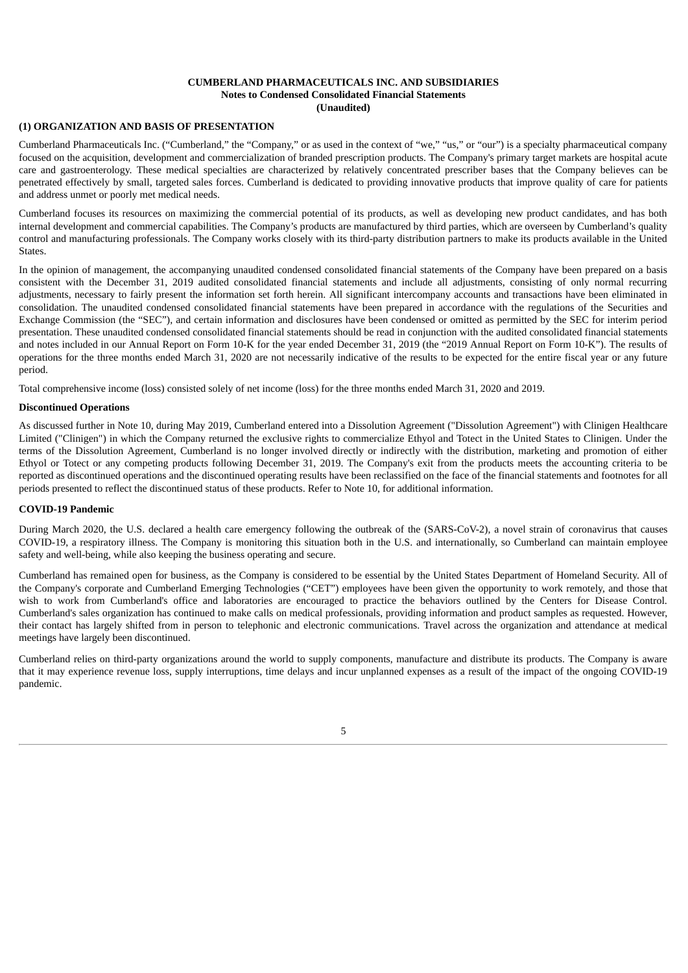# **CUMBERLAND PHARMACEUTICALS INC. AND SUBSIDIARIES Notes to Condensed Consolidated Financial Statements (Unaudited)**

# **(1) ORGANIZATION AND BASIS OF PRESENTATION**

Cumberland Pharmaceuticals Inc. ("Cumberland," the "Company," or as used in the context of "we," "us," or "our") is a specialty pharmaceutical company focused on the acquisition, development and commercialization of branded prescription products. The Company's primary target markets are hospital acute care and gastroenterology. These medical specialties are characterized by relatively concentrated prescriber bases that the Company believes can be penetrated effectively by small, targeted sales forces. Cumberland is dedicated to providing innovative products that improve quality of care for patients and address unmet or poorly met medical needs.

Cumberland focuses its resources on maximizing the commercial potential of its products, as well as developing new product candidates, and has both internal development and commercial capabilities. The Company's products are manufactured by third parties, which are overseen by Cumberland's quality control and manufacturing professionals. The Company works closely with its third-party distribution partners to make its products available in the United States.

In the opinion of management, the accompanying unaudited condensed consolidated financial statements of the Company have been prepared on a basis consistent with the December 31, 2019 audited consolidated financial statements and include all adjustments, consisting of only normal recurring adjustments, necessary to fairly present the information set forth herein. All significant intercompany accounts and transactions have been eliminated in consolidation. The unaudited condensed consolidated financial statements have been prepared in accordance with the regulations of the Securities and Exchange Commission (the "SEC"), and certain information and disclosures have been condensed or omitted as permitted by the SEC for interim period presentation. These unaudited condensed consolidated financial statements should be read in conjunction with the audited consolidated financial statements and notes included in our Annual Report on Form 10-K for the year ended December 31, 2019 (the "2019 Annual Report on Form 10-K"). The results of operations for the three months ended March 31, 2020 are not necessarily indicative of the results to be expected for the entire fiscal year or any future period.

Total comprehensive income (loss) consisted solely of net income (loss) for the three months ended March 31, 2020 and 2019.

#### **Discontinued Operations**

As discussed further in Note 10, during May 2019, Cumberland entered into a Dissolution Agreement ("Dissolution Agreement") with Clinigen Healthcare Limited ("Clinigen") in which the Company returned the exclusive rights to commercialize Ethyol and Totect in the United States to Clinigen. Under the terms of the Dissolution Agreement, Cumberland is no longer involved directly or indirectly with the distribution, marketing and promotion of either Ethyol or Totect or any competing products following December 31, 2019. The Company's exit from the products meets the accounting criteria to be reported as discontinued operations and the discontinued operating results have been reclassified on the face of the financial statements and footnotes for all periods presented to reflect the discontinued status of these products. Refer to Note 10, for additional information.

#### **COVID-19 Pandemic**

During March 2020, the U.S. declared a health care emergency following the outbreak of the (SARS-CoV-2), a novel strain of coronavirus that causes COVID-19, a respiratory illness. The Company is monitoring this situation both in the U.S. and internationally, so Cumberland can maintain employee safety and well-being, while also keeping the business operating and secure.

Cumberland has remained open for business, as the Company is considered to be essential by the United States Department of Homeland Security. All of the Company's corporate and Cumberland Emerging Technologies ("CET") employees have been given the opportunity to work remotely, and those that wish to work from Cumberland's office and laboratories are encouraged to practice the behaviors outlined by the Centers for Disease Control. Cumberland's sales organization has continued to make calls on medical professionals, providing information and product samples as requested. However, their contact has largely shifted from in person to telephonic and electronic communications. Travel across the organization and attendance at medical meetings have largely been discontinued.

Cumberland relies on third-party organizations around the world to supply components, manufacture and distribute its products. The Company is aware that it may experience revenue loss, supply interruptions, time delays and incur unplanned expenses as a result of the impact of the ongoing COVID-19 pandemic.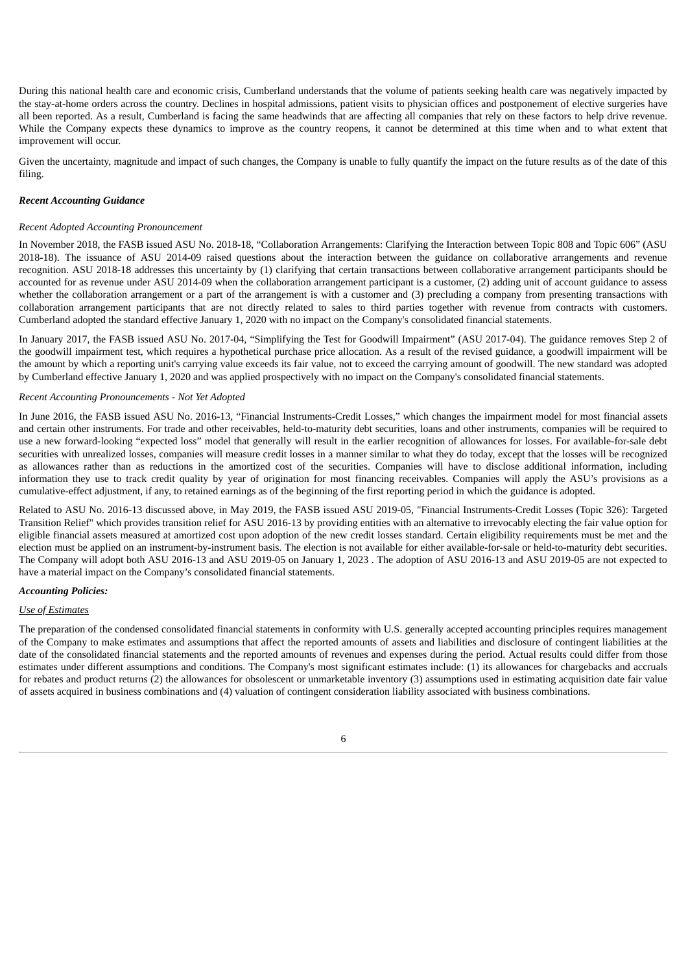During this national health care and economic crisis, Cumberland understands that the volume of patients seeking health care was negatively impacted by the stay-at-home orders across the country. Declines in hospital admissions, patient visits to physician offices and postponement of elective surgeries have all been reported. As a result, Cumberland is facing the same headwinds that are affecting all companies that rely on these factors to help drive revenue. While the Company expects these dynamics to improve as the country reopens, it cannot be determined at this time when and to what extent that improvement will occur.

Given the uncertainty, magnitude and impact of such changes, the Company is unable to fully quantify the impact on the future results as of the date of this filing.

#### *Recent Accounting Guidance*

#### *Recent Adopted Accounting Pronouncement*

In November 2018, the FASB issued ASU No. 2018-18, "Collaboration Arrangements: Clarifying the Interaction between Topic 808 and Topic 606" (ASU 2018-18). The issuance of ASU 2014-09 raised questions about the interaction between the guidance on collaborative arrangements and revenue recognition. ASU 2018-18 addresses this uncertainty by (1) clarifying that certain transactions between collaborative arrangement participants should be accounted for as revenue under ASU 2014-09 when the collaboration arrangement participant is a customer, (2) adding unit of account guidance to assess whether the collaboration arrangement or a part of the arrangement is with a customer and (3) precluding a company from presenting transactions with collaboration arrangement participants that are not directly related to sales to third parties together with revenue from contracts with customers. Cumberland adopted the standard effective January 1, 2020 with no impact on the Company's consolidated financial statements.

In January 2017, the FASB issued ASU No. 2017-04, "Simplifying the Test for Goodwill Impairment" (ASU 2017-04). The guidance removes Step 2 of the goodwill impairment test, which requires a hypothetical purchase price allocation. As a result of the revised guidance, a goodwill impairment will be the amount by which a reporting unit's carrying value exceeds its fair value, not to exceed the carrying amount of goodwill. The new standard was adopted by Cumberland effective January 1, 2020 and was applied prospectively with no impact on the Company's consolidated financial statements.

#### *Recent Accounting Pronouncements - Not Yet Adopted*

In June 2016, the FASB issued ASU No. 2016-13, "Financial Instruments-Credit Losses," which changes the impairment model for most financial assets and certain other instruments. For trade and other receivables, held-to-maturity debt securities, loans and other instruments, companies will be required to use a new forward-looking "expected loss" model that generally will result in the earlier recognition of allowances for losses. For available-for-sale debt securities with unrealized losses, companies will measure credit losses in a manner similar to what they do today, except that the losses will be recognized as allowances rather than as reductions in the amortized cost of the securities. Companies will have to disclose additional information, including information they use to track credit quality by year of origination for most financing receivables. Companies will apply the ASU's provisions as a cumulative-effect adjustment, if any, to retained earnings as of the beginning of the first reporting period in which the guidance is adopted.

Related to ASU No. 2016-13 discussed above, in May 2019, the FASB issued ASU 2019-05, "Financial Instruments-Credit Losses (Topic 326): Targeted Transition Relief" which provides transition relief for ASU 2016-13 by providing entities with an alternative to irrevocably electing the fair value option for eligible financial assets measured at amortized cost upon adoption of the new credit losses standard. Certain eligibility requirements must be met and the election must be applied on an instrument-by-instrument basis. The election is not available for either available-for-sale or held-to-maturity debt securities. The Company will adopt both ASU 2016-13 and ASU 2019-05 on January 1, 2023 . The adoption of ASU 2016-13 and ASU 2019-05 are not expected to have a material impact on the Company's consolidated financial statements.

# *Accounting Policies:*

#### *Use of Estimates*

The preparation of the condensed consolidated financial statements in conformity with U.S. generally accepted accounting principles requires management of the Company to make estimates and assumptions that affect the reported amounts of assets and liabilities and disclosure of contingent liabilities at the date of the consolidated financial statements and the reported amounts of revenues and expenses during the period. Actual results could differ from those estimates under different assumptions and conditions. The Company's most significant estimates include: (1) its allowances for chargebacks and accruals for rebates and product returns (2) the allowances for obsolescent or unmarketable inventory (3) assumptions used in estimating acquisition date fair value of assets acquired in business combinations and (4) valuation of contingent consideration liability associated with business combinations.

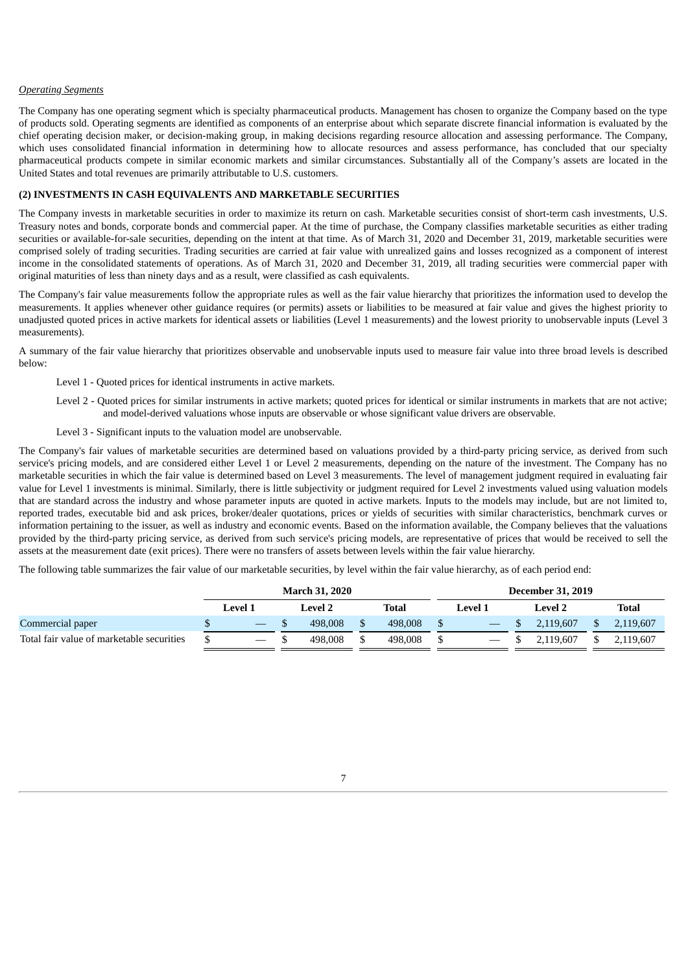#### *Operating Segments*

The Company has one operating segment which is specialty pharmaceutical products. Management has chosen to organize the Company based on the type of products sold. Operating segments are identified as components of an enterprise about which separate discrete financial information is evaluated by the chief operating decision maker, or decision-making group, in making decisions regarding resource allocation and assessing performance. The Company, which uses consolidated financial information in determining how to allocate resources and assess performance, has concluded that our specialty pharmaceutical products compete in similar economic markets and similar circumstances. Substantially all of the Company's assets are located in the United States and total revenues are primarily attributable to U.S. customers.

# **(2) INVESTMENTS IN CASH EQUIVALENTS AND MARKETABLE SECURITIES**

The Company invests in marketable securities in order to maximize its return on cash. Marketable securities consist of short-term cash investments, U.S. Treasury notes and bonds, corporate bonds and commercial paper. At the time of purchase, the Company classifies marketable securities as either trading securities or available-for-sale securities, depending on the intent at that time. As of March 31, 2020 and December 31, 2019, marketable securities were comprised solely of trading securities. Trading securities are carried at fair value with unrealized gains and losses recognized as a component of interest income in the consolidated statements of operations. As of March 31, 2020 and December 31, 2019, all trading securities were commercial paper with original maturities of less than ninety days and as a result, were classified as cash equivalents.

The Company's fair value measurements follow the appropriate rules as well as the fair value hierarchy that prioritizes the information used to develop the measurements. It applies whenever other guidance requires (or permits) assets or liabilities to be measured at fair value and gives the highest priority to unadjusted quoted prices in active markets for identical assets or liabilities (Level 1 measurements) and the lowest priority to unobservable inputs (Level 3 measurements).

A summary of the fair value hierarchy that prioritizes observable and unobservable inputs used to measure fair value into three broad levels is described below:

Level 1 - Quoted prices for identical instruments in active markets.

- Level 2 Quoted prices for similar instruments in active markets; quoted prices for identical or similar instruments in markets that are not active; and model-derived valuations whose inputs are observable or whose significant value drivers are observable.
- Level 3 Significant inputs to the valuation model are unobservable.

The Company's fair values of marketable securities are determined based on valuations provided by a third-party pricing service, as derived from such service's pricing models, and are considered either Level 1 or Level 2 measurements, depending on the nature of the investment. The Company has no marketable securities in which the fair value is determined based on Level 3 measurements. The level of management judgment required in evaluating fair value for Level 1 investments is minimal. Similarly, there is little subjectivity or judgment required for Level 2 investments valued using valuation models that are standard across the industry and whose parameter inputs are quoted in active markets. Inputs to the models may include, but are not limited to, reported trades, executable bid and ask prices, broker/dealer quotations, prices or yields of securities with similar characteristics, benchmark curves or information pertaining to the issuer, as well as industry and economic events. Based on the information available, the Company believes that the valuations provided by the third-party pricing service, as derived from such service's pricing models, are representative of prices that would be received to sell the assets at the measurement date (exit prices). There were no transfers of assets between levels within the fair value hierarchy.

The following table summarizes the fair value of our marketable securities, by level within the fair value hierarchy, as of each period end:

|                                           | <b>March 31, 2020</b> |  |         |  |         |         | <b>December 31, 2019</b> |              |
|-------------------------------------------|-----------------------|--|---------|--|---------|---------|--------------------------|--------------|
|                                           | <b>Level</b> 1        |  | Level 2 |  | Total   | Level 1 | Level 2                  | <b>Total</b> |
| Commercial paper                          | $\hspace{0.05cm}$     |  | 498,008 |  | 498,008 |         | 2.119.607                | 2.119.607    |
| Total fair value of marketable securities |                       |  | 498,008 |  | 498,008 |         | 19.607                   | 2.119.607    |

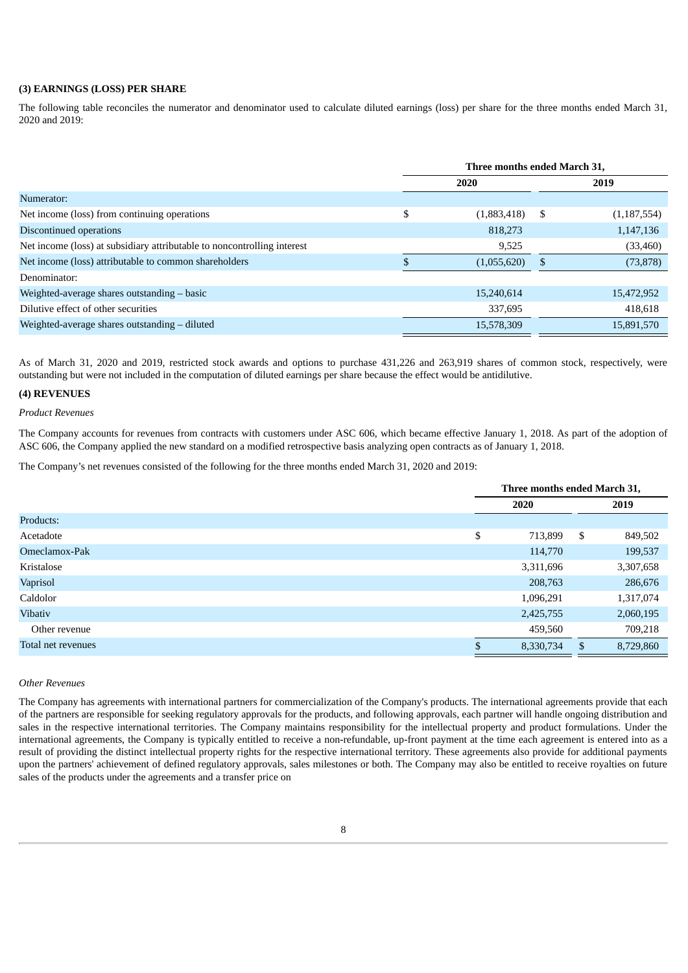# **(3) EARNINGS (LOSS) PER SHARE**

The following table reconciles the numerator and denominator used to calculate diluted earnings (loss) per share for the three months ended March 31, 2020 and 2019:

|                                                                         | Three months ended March 31, |             |    |               |  |
|-------------------------------------------------------------------------|------------------------------|-------------|----|---------------|--|
|                                                                         | 2020                         |             |    | 2019          |  |
| Numerator:                                                              |                              |             |    |               |  |
| Net income (loss) from continuing operations                            | \$                           | (1,883,418) | \$ | (1, 187, 554) |  |
| Discontinued operations                                                 |                              | 818,273     |    | 1,147,136     |  |
| Net income (loss) at subsidiary attributable to noncontrolling interest |                              | 9,525       |    | (33, 460)     |  |
| Net income (loss) attributable to common shareholders                   |                              | (1,055,620) | -S | (73, 878)     |  |
| Denominator:                                                            |                              |             |    |               |  |
| Weighted-average shares outstanding - basic                             |                              | 15,240,614  |    | 15,472,952    |  |
| Dilutive effect of other securities                                     |                              | 337,695     |    | 418,618       |  |
| Weighted-average shares outstanding - diluted                           |                              | 15,578,309  |    | 15,891,570    |  |

As of March 31, 2020 and 2019, restricted stock awards and options to purchase 431,226 and 263,919 shares of common stock, respectively, were outstanding but were not included in the computation of diluted earnings per share because the effect would be antidilutive.

# **(4) REVENUES**

*Product Revenues*

The Company accounts for revenues from contracts with customers under ASC 606, which became effective January 1, 2018. As part of the adoption of ASC 606, the Company applied the new standard on a modified retrospective basis analyzing open contracts as of January 1, 2018.

The Company's net revenues consisted of the following for the three months ended March 31, 2020 and 2019:

|                    | Three months ended March 31, |           |    |           |  |
|--------------------|------------------------------|-----------|----|-----------|--|
|                    |                              | 2020      |    | 2019      |  |
| Products:          |                              |           |    |           |  |
| Acetadote          | \$                           | 713,899   | \$ | 849,502   |  |
| Omeclamox-Pak      |                              | 114,770   |    | 199,537   |  |
| Kristalose         |                              | 3,311,696 |    | 3,307,658 |  |
| Vaprisol           |                              | 208,763   |    | 286,676   |  |
| Caldolor           |                              | 1,096,291 |    | 1,317,074 |  |
| Vibativ            |                              | 2,425,755 |    | 2,060,195 |  |
| Other revenue      |                              | 459,560   |    | 709,218   |  |
| Total net revenues |                              | 8,330,734 | S  | 8,729,860 |  |

#### *Other Revenues*

The Company has agreements with international partners for commercialization of the Company's products. The international agreements provide that each of the partners are responsible for seeking regulatory approvals for the products, and following approvals, each partner will handle ongoing distribution and sales in the respective international territories. The Company maintains responsibility for the intellectual property and product formulations. Under the international agreements, the Company is typically entitled to receive a non-refundable, up-front payment at the time each agreement is entered into as a result of providing the distinct intellectual property rights for the respective international territory. These agreements also provide for additional payments upon the partners' achievement of defined regulatory approvals, sales milestones or both. The Company may also be entitled to receive royalties on future sales of the products under the agreements and a transfer price on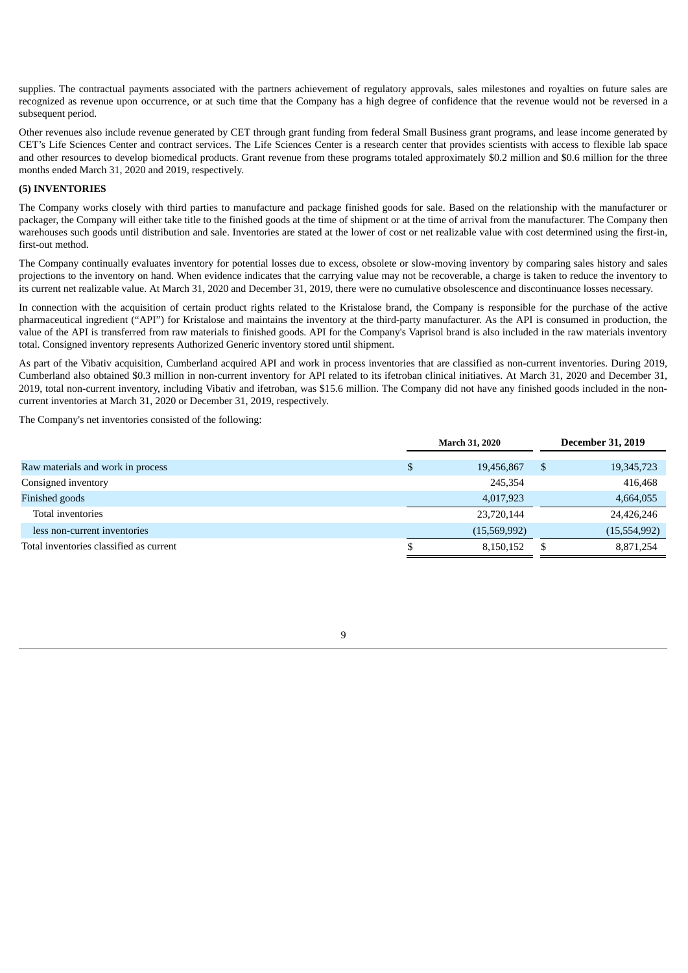supplies. The contractual payments associated with the partners achievement of regulatory approvals, sales milestones and royalties on future sales are recognized as revenue upon occurrence, or at such time that the Company has a high degree of confidence that the revenue would not be reversed in a subsequent period.

Other revenues also include revenue generated by CET through grant funding from federal Small Business grant programs, and lease income generated by CET's Life Sciences Center and contract services. The Life Sciences Center is a research center that provides scientists with access to flexible lab space and other resources to develop biomedical products. Grant revenue from these programs totaled approximately \$0.2 million and \$0.6 million for the three months ended March 31, 2020 and 2019, respectively.

# **(5) INVENTORIES**

The Company works closely with third parties to manufacture and package finished goods for sale. Based on the relationship with the manufacturer or packager, the Company will either take title to the finished goods at the time of shipment or at the time of arrival from the manufacturer. The Company then warehouses such goods until distribution and sale. Inventories are stated at the lower of cost or net realizable value with cost determined using the first-in, first-out method.

The Company continually evaluates inventory for potential losses due to excess, obsolete or slow-moving inventory by comparing sales history and sales projections to the inventory on hand. When evidence indicates that the carrying value may not be recoverable, a charge is taken to reduce the inventory to its current net realizable value. At March 31, 2020 and December 31, 2019, there were no cumulative obsolescence and discontinuance losses necessary.

In connection with the acquisition of certain product rights related to the Kristalose brand, the Company is responsible for the purchase of the active pharmaceutical ingredient ("API") for Kristalose and maintains the inventory at the third-party manufacturer. As the API is consumed in production, the value of the API is transferred from raw materials to finished goods. API for the Company's Vaprisol brand is also included in the raw materials inventory total. Consigned inventory represents Authorized Generic inventory stored until shipment.

As part of the Vibativ acquisition, Cumberland acquired API and work in process inventories that are classified as non-current inventories. During 2019, Cumberland also obtained \$0.3 million in non-current inventory for API related to its ifetroban clinical initiatives. At March 31, 2020 and December 31, 2019, total non-current inventory, including Vibativ and ifetroban, was \$15.6 million. The Company did not have any finished goods included in the noncurrent inventories at March 31, 2020 or December 31, 2019, respectively.

The Company's net inventories consisted of the following:

|                                         | <b>March 31, 2020</b> | <b>December 31, 2019</b> |
|-----------------------------------------|-----------------------|--------------------------|
|                                         |                       |                          |
| Raw materials and work in process       | 19,456,867            | \$<br>19,345,723         |
| Consigned inventory                     | 245,354               | 416,468                  |
| Finished goods                          | 4,017,923             | 4,664,055                |
| Total inventories                       | 23,720,144            | 24,426,246               |
| less non-current inventories            | (15,569,992)          | (15,554,992)             |
| Total inventories classified as current | 8,150,152             | 8,871,254                |
|                                         |                       |                          |

9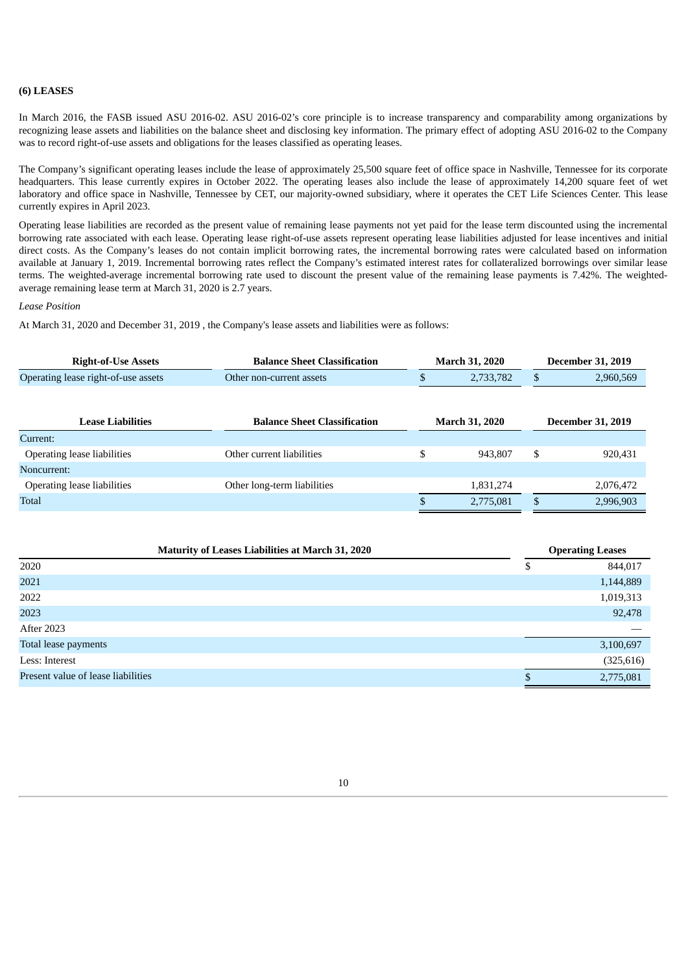## **(6) LEASES**

In March 2016, the FASB issued ASU 2016-02. ASU 2016-02's core principle is to increase transparency and comparability among organizations by recognizing lease assets and liabilities on the balance sheet and disclosing key information. The primary effect of adopting ASU 2016-02 to the Company was to record right-of-use assets and obligations for the leases classified as operating leases.

The Company's significant operating leases include the lease of approximately 25,500 square feet of office space in Nashville, Tennessee for its corporate headquarters. This lease currently expires in October 2022. The operating leases also include the lease of approximately 14,200 square feet of wet laboratory and office space in Nashville, Tennessee by CET, our majority-owned subsidiary, where it operates the CET Life Sciences Center. This lease currently expires in April 2023.

Operating lease liabilities are recorded as the present value of remaining lease payments not yet paid for the lease term discounted using the incremental borrowing rate associated with each lease. Operating lease right-of-use assets represent operating lease liabilities adjusted for lease incentives and initial direct costs. As the Company's leases do not contain implicit borrowing rates, the incremental borrowing rates were calculated based on information available at January 1, 2019. Incremental borrowing rates reflect the Company's estimated interest rates for collateralized borrowings over similar lease terms. The weighted-average incremental borrowing rate used to discount the present value of the remaining lease payments is 7.42%. The weightedaverage remaining lease term at March 31, 2020 is 2.7 years.

### *Lease Position*

At March 31, 2020 and December 31, 2019 , the Company's lease assets and liabilities were as follows:

| <b>Balance Sheet Classification</b>   | <b>March 31, 2020</b>               |           |                          | <b>December 31, 2019</b> |
|---------------------------------------|-------------------------------------|-----------|--------------------------|--------------------------|
| 2,733,782<br>Other non-current assets |                                     |           |                          | 2,960,569                |
|                                       |                                     |           |                          |                          |
|                                       |                                     |           | <b>December 31, 2019</b> |                          |
|                                       |                                     |           |                          |                          |
| Other current liabilities             | \$                                  | 943,807   | \$                       | 920,431                  |
|                                       |                                     |           |                          |                          |
| Other long-term liabilities           |                                     | 1,831,274 |                          | 2,076,472                |
|                                       |                                     | 2,775,081 |                          | 2,996,903                |
|                                       | <b>Balance Sheet Classification</b> |           | <b>March 31, 2020</b>    |                          |

| <b>Maturity of Leases Liabilities at March 31, 2020</b> |   | <b>Operating Leases</b> |
|---------------------------------------------------------|---|-------------------------|
| 2020                                                    | Φ | 844,017                 |
| 2021                                                    |   | 1,144,889               |
| 2022                                                    |   | 1,019,313               |
| 2023                                                    |   | 92,478                  |
| <b>After 2023</b>                                       |   |                         |
| Total lease payments                                    |   | 3,100,697               |
| Less: Interest                                          |   | (325, 616)              |
| Present value of lease liabilities                      |   | 2,775,081               |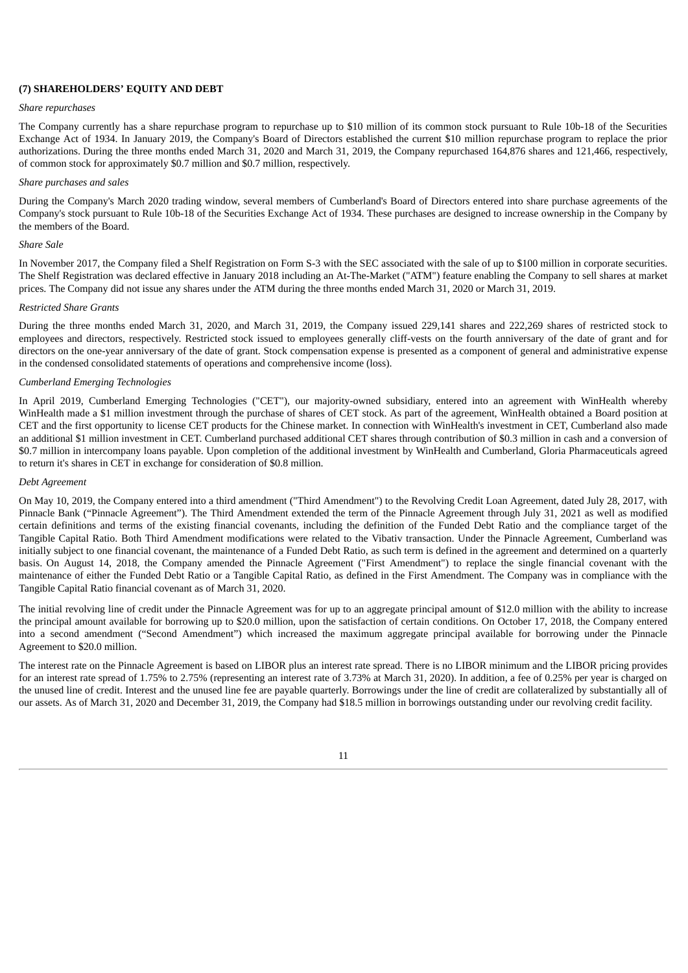## **(7) SHAREHOLDERS' EQUITY AND DEBT**

#### *Share repurchases*

The Company currently has a share repurchase program to repurchase up to \$10 million of its common stock pursuant to Rule 10b-18 of the Securities Exchange Act of 1934. In January 2019, the Company's Board of Directors established the current \$10 million repurchase program to replace the prior authorizations. During the three months ended March 31, 2020 and March 31, 2019, the Company repurchased 164,876 shares and 121,466, respectively, of common stock for approximately \$0.7 million and \$0.7 million, respectively.

## *Share purchases and sales*

During the Company's March 2020 trading window, several members of Cumberland's Board of Directors entered into share purchase agreements of the Company's stock pursuant to Rule 10b-18 of the Securities Exchange Act of 1934. These purchases are designed to increase ownership in the Company by the members of the Board.

### *Share Sale*

In November 2017, the Company filed a Shelf Registration on Form S-3 with the SEC associated with the sale of up to \$100 million in corporate securities. The Shelf Registration was declared effective in January 2018 including an At-The-Market ("ATM") feature enabling the Company to sell shares at market prices. The Company did not issue any shares under the ATM during the three months ended March 31, 2020 or March 31, 2019.

#### *Restricted Share Grants*

During the three months ended March 31, 2020, and March 31, 2019, the Company issued 229,141 shares and 222,269 shares of restricted stock to employees and directors, respectively. Restricted stock issued to employees generally cliff-vests on the fourth anniversary of the date of grant and for directors on the one-year anniversary of the date of grant. Stock compensation expense is presented as a component of general and administrative expense in the condensed consolidated statements of operations and comprehensive income (loss).

#### *Cumberland Emerging Technologies*

In April 2019, Cumberland Emerging Technologies ("CET"), our majority-owned subsidiary, entered into an agreement with WinHealth whereby WinHealth made a \$1 million investment through the purchase of shares of CET stock. As part of the agreement, WinHealth obtained a Board position at CET and the first opportunity to license CET products for the Chinese market. In connection with WinHealth's investment in CET, Cumberland also made an additional \$1 million investment in CET. Cumberland purchased additional CET shares through contribution of \$0.3 million in cash and a conversion of \$0.7 million in intercompany loans payable. Upon completion of the additional investment by WinHealth and Cumberland, Gloria Pharmaceuticals agreed to return it's shares in CET in exchange for consideration of \$0.8 million.

#### *Debt Agreement*

On May 10, 2019, the Company entered into a third amendment ("Third Amendment") to the Revolving Credit Loan Agreement, dated July 28, 2017, with Pinnacle Bank ("Pinnacle Agreement"). The Third Amendment extended the term of the Pinnacle Agreement through July 31, 2021 as well as modified certain definitions and terms of the existing financial covenants, including the definition of the Funded Debt Ratio and the compliance target of the Tangible Capital Ratio. Both Third Amendment modifications were related to the Vibativ transaction. Under the Pinnacle Agreement, Cumberland was initially subject to one financial covenant, the maintenance of a Funded Debt Ratio, as such term is defined in the agreement and determined on a quarterly basis. On August 14, 2018, the Company amended the Pinnacle Agreement ("First Amendment") to replace the single financial covenant with the maintenance of either the Funded Debt Ratio or a Tangible Capital Ratio, as defined in the First Amendment. The Company was in compliance with the Tangible Capital Ratio financial covenant as of March 31, 2020.

The initial revolving line of credit under the Pinnacle Agreement was for up to an aggregate principal amount of \$12.0 million with the ability to increase the principal amount available for borrowing up to \$20.0 million, upon the satisfaction of certain conditions. On October 17, 2018, the Company entered into a second amendment ("Second Amendment") which increased the maximum aggregate principal available for borrowing under the Pinnacle Agreement to \$20.0 million.

The interest rate on the Pinnacle Agreement is based on LIBOR plus an interest rate spread. There is no LIBOR minimum and the LIBOR pricing provides for an interest rate spread of 1.75% to 2.75% (representing an interest rate of 3.73% at March 31, 2020). In addition, a fee of 0.25% per year is charged on the unused line of credit. Interest and the unused line fee are payable quarterly. Borrowings under the line of credit are collateralized by substantially all of our assets. As of March 31, 2020 and December 31, 2019, the Company had \$18.5 million in borrowings outstanding under our revolving credit facility.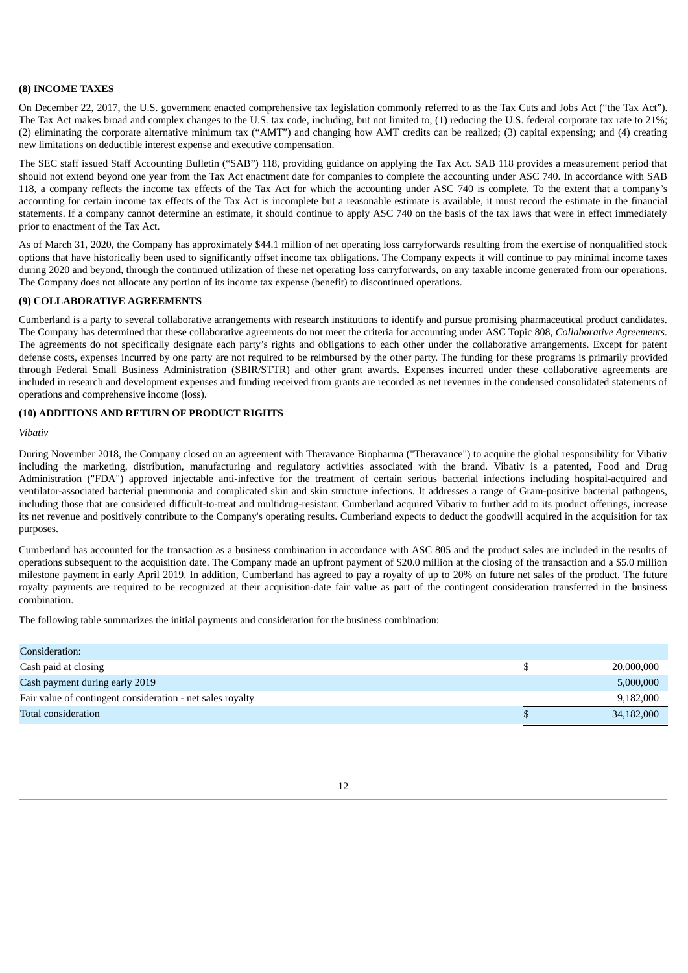## **(8) INCOME TAXES**

On December 22, 2017, the U.S. government enacted comprehensive tax legislation commonly referred to as the Tax Cuts and Jobs Act ("the Tax Act"). The Tax Act makes broad and complex changes to the U.S. tax code, including, but not limited to, (1) reducing the U.S. federal corporate tax rate to 21%; (2) eliminating the corporate alternative minimum tax ("AMT") and changing how AMT credits can be realized; (3) capital expensing; and (4) creating new limitations on deductible interest expense and executive compensation.

The SEC staff issued Staff Accounting Bulletin ("SAB") 118, providing guidance on applying the Tax Act. SAB 118 provides a measurement period that should not extend beyond one year from the Tax Act enactment date for companies to complete the accounting under ASC 740. In accordance with SAB 118, a company reflects the income tax effects of the Tax Act for which the accounting under ASC 740 is complete. To the extent that a company's accounting for certain income tax effects of the Tax Act is incomplete but a reasonable estimate is available, it must record the estimate in the financial statements. If a company cannot determine an estimate, it should continue to apply ASC 740 on the basis of the tax laws that were in effect immediately prior to enactment of the Tax Act.

As of March 31, 2020, the Company has approximately \$44.1 million of net operating loss carryforwards resulting from the exercise of nonqualified stock options that have historically been used to significantly offset income tax obligations. The Company expects it will continue to pay minimal income taxes during 2020 and beyond, through the continued utilization of these net operating loss carryforwards, on any taxable income generated from our operations. The Company does not allocate any portion of its income tax expense (benefit) to discontinued operations.

## **(9) COLLABORATIVE AGREEMENTS**

Cumberland is a party to several collaborative arrangements with research institutions to identify and pursue promising pharmaceutical product candidates. The Company has determined that these collaborative agreements do not meet the criteria for accounting under ASC Topic 808, *Collaborative Agreements*. The agreements do not specifically designate each party's rights and obligations to each other under the collaborative arrangements. Except for patent defense costs, expenses incurred by one party are not required to be reimbursed by the other party. The funding for these programs is primarily provided through Federal Small Business Administration (SBIR/STTR) and other grant awards. Expenses incurred under these collaborative agreements are included in research and development expenses and funding received from grants are recorded as net revenues in the condensed consolidated statements of operations and comprehensive income (loss).

# **(10) ADDITIONS AND RETURN OF PRODUCT RIGHTS**

*Vibativ*

During November 2018, the Company closed on an agreement with Theravance Biopharma ("Theravance") to acquire the global responsibility for Vibativ including the marketing, distribution, manufacturing and regulatory activities associated with the brand. Vibativ is a patented, Food and Drug Administration ("FDA") approved injectable anti-infective for the treatment of certain serious bacterial infections including hospital-acquired and ventilator-associated bacterial pneumonia and complicated skin and skin structure infections. It addresses a range of Gram-positive bacterial pathogens, including those that are considered difficult-to-treat and multidrug-resistant. Cumberland acquired Vibativ to further add to its product offerings, increase its net revenue and positively contribute to the Company's operating results. Cumberland expects to deduct the goodwill acquired in the acquisition for tax purposes.

Cumberland has accounted for the transaction as a business combination in accordance with ASC 805 and the product sales are included in the results of operations subsequent to the acquisition date. The Company made an upfront payment of \$20.0 million at the closing of the transaction and a \$5.0 million milestone payment in early April 2019. In addition, Cumberland has agreed to pay a royalty of up to 20% on future net sales of the product. The future royalty payments are required to be recognized at their acquisition-date fair value as part of the contingent consideration transferred in the business combination.

The following table summarizes the initial payments and consideration for the business combination:

| Consideration:                                             |            |
|------------------------------------------------------------|------------|
| Cash paid at closing                                       | 20,000,000 |
| Cash payment during early 2019                             | 5,000,000  |
| Fair value of contingent consideration - net sales royalty | 9,182,000  |
| Total consideration                                        | 34,182,000 |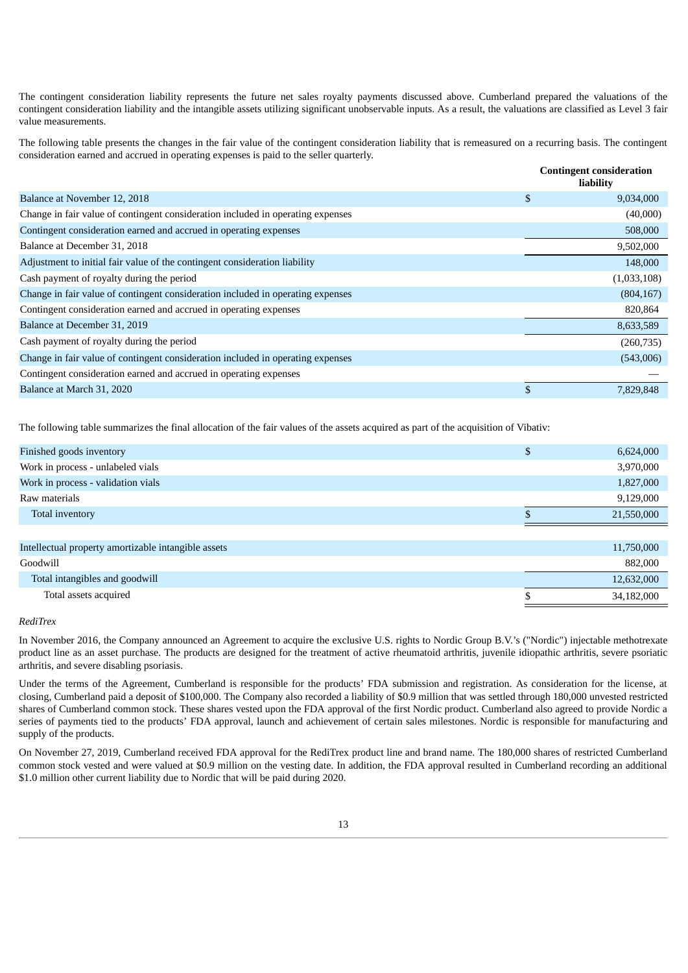The contingent consideration liability represents the future net sales royalty payments discussed above. Cumberland prepared the valuations of the contingent consideration liability and the intangible assets utilizing significant unobservable inputs. As a result, the valuations are classified as Level 3 fair value measurements.

The following table presents the changes in the fair value of the contingent consideration liability that is remeasured on a recurring basis. The contingent consideration earned and accrued in operating expenses is paid to the seller quarterly.

|                                                                                 |              | <b>Contingent consideration</b><br>liability |
|---------------------------------------------------------------------------------|--------------|----------------------------------------------|
| Balance at November 12, 2018                                                    | \$           | 9,034,000                                    |
| Change in fair value of contingent consideration included in operating expenses |              | (40,000)                                     |
| Contingent consideration earned and accrued in operating expenses               |              | 508,000                                      |
| Balance at December 31, 2018                                                    |              | 9,502,000                                    |
| Adjustment to initial fair value of the contingent consideration liability      |              | 148,000                                      |
| Cash payment of royalty during the period                                       |              | (1,033,108)                                  |
| Change in fair value of contingent consideration included in operating expenses |              | (804, 167)                                   |
| Contingent consideration earned and accrued in operating expenses               |              | 820,864                                      |
| Balance at December 31, 2019                                                    |              | 8,633,589                                    |
| Cash payment of royalty during the period                                       |              | (260, 735)                                   |
| Change in fair value of contingent consideration included in operating expenses |              | (543,006)                                    |
| Contingent consideration earned and accrued in operating expenses               |              |                                              |
| Balance at March 31, 2020                                                       | $\mathbf{s}$ | 7.829.848                                    |

The following table summarizes the final allocation of the fair values of the assets acquired as part of the acquisition of Vibativ:

| Finished goods inventory                            | \$<br>6,624,000 |
|-----------------------------------------------------|-----------------|
| Work in process - unlabeled vials                   | 3,970,000       |
| Work in process - validation vials                  | 1,827,000       |
| Raw materials                                       | 9,129,000       |
| Total inventory                                     | 21,550,000      |
|                                                     |                 |
| Intellectual property amortizable intangible assets | 11,750,000      |
| Goodwill                                            | 882,000         |
| Total intangibles and goodwill                      |                 |
|                                                     | 12,632,000      |

#### *RediTrex*

In November 2016, the Company announced an Agreement to acquire the exclusive U.S. rights to Nordic Group B.V.'s ("Nordic") injectable methotrexate product line as an asset purchase. The products are designed for the treatment of active rheumatoid arthritis, juvenile idiopathic arthritis, severe psoriatic arthritis, and severe disabling psoriasis.

Under the terms of the Agreement, Cumberland is responsible for the products' FDA submission and registration. As consideration for the license, at closing, Cumberland paid a deposit of \$100,000. The Company also recorded a liability of \$0.9 million that was settled through 180,000 unvested restricted shares of Cumberland common stock. These shares vested upon the FDA approval of the first Nordic product. Cumberland also agreed to provide Nordic a series of payments tied to the products' FDA approval, launch and achievement of certain sales milestones. Nordic is responsible for manufacturing and supply of the products.

On November 27, 2019, Cumberland received FDA approval for the RediTrex product line and brand name. The 180,000 shares of restricted Cumberland common stock vested and were valued at \$0.9 million on the vesting date. In addition, the FDA approval resulted in Cumberland recording an additional \$1.0 million other current liability due to Nordic that will be paid during 2020.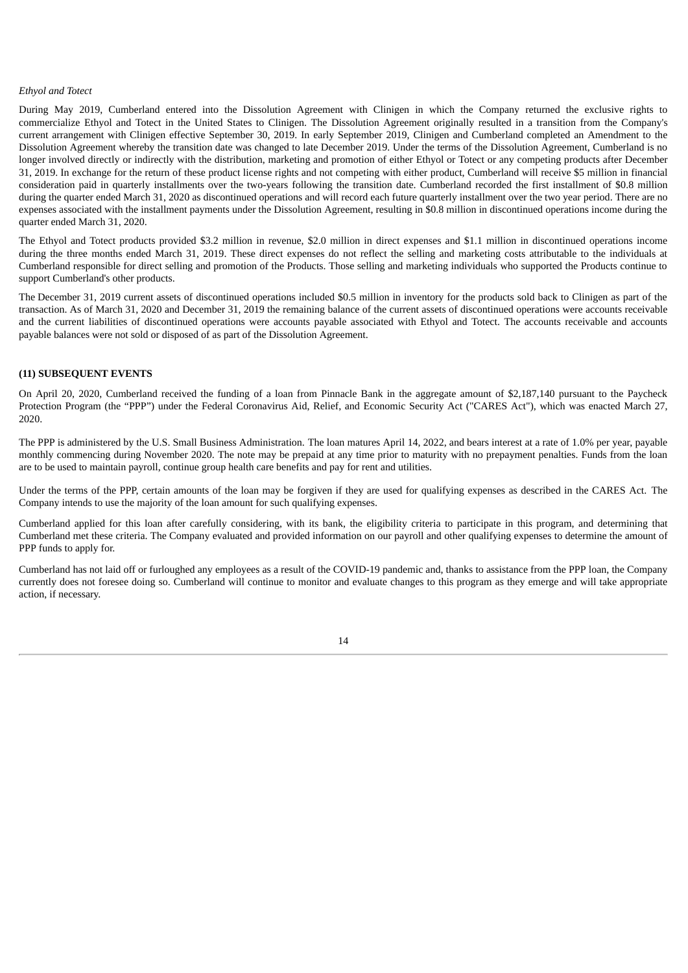#### *Ethyol and Totect*

During May 2019, Cumberland entered into the Dissolution Agreement with Clinigen in which the Company returned the exclusive rights to commercialize Ethyol and Totect in the United States to Clinigen. The Dissolution Agreement originally resulted in a transition from the Company's current arrangement with Clinigen effective September 30, 2019. In early September 2019, Clinigen and Cumberland completed an Amendment to the Dissolution Agreement whereby the transition date was changed to late December 2019. Under the terms of the Dissolution Agreement, Cumberland is no longer involved directly or indirectly with the distribution, marketing and promotion of either Ethyol or Totect or any competing products after December 31, 2019. In exchange for the return of these product license rights and not competing with either product, Cumberland will receive \$5 million in financial consideration paid in quarterly installments over the two-years following the transition date. Cumberland recorded the first installment of \$0.8 million during the quarter ended March 31, 2020 as discontinued operations and will record each future quarterly installment over the two year period. There are no expenses associated with the installment payments under the Dissolution Agreement, resulting in \$0.8 million in discontinued operations income during the quarter ended March 31, 2020.

The Ethyol and Totect products provided \$3.2 million in revenue, \$2.0 million in direct expenses and \$1.1 million in discontinued operations income during the three months ended March 31, 2019. These direct expenses do not reflect the selling and marketing costs attributable to the individuals at Cumberland responsible for direct selling and promotion of the Products. Those selling and marketing individuals who supported the Products continue to support Cumberland's other products.

The December 31, 2019 current assets of discontinued operations included \$0.5 million in inventory for the products sold back to Clinigen as part of the transaction. As of March 31, 2020 and December 31, 2019 the remaining balance of the current assets of discontinued operations were accounts receivable and the current liabilities of discontinued operations were accounts payable associated with Ethyol and Totect. The accounts receivable and accounts payable balances were not sold or disposed of as part of the Dissolution Agreement.

# **(11) SUBSEQUENT EVENTS**

On April 20, 2020, Cumberland received the funding of a loan from Pinnacle Bank in the aggregate amount of \$2,187,140 pursuant to the Paycheck Protection Program (the "PPP") under the Federal Coronavirus Aid, Relief, and Economic Security Act ("CARES Act"), which was enacted March 27, 2020.

The PPP is administered by the U.S. Small Business Administration. The loan matures April 14, 2022, and bears interest at a rate of 1.0% per year, payable monthly commencing during November 2020. The note may be prepaid at any time prior to maturity with no prepayment penalties. Funds from the loan are to be used to maintain payroll, continue group health care benefits and pay for rent and utilities.

Under the terms of the PPP, certain amounts of the loan may be forgiven if they are used for qualifying expenses as described in the CARES Act. The Company intends to use the majority of the loan amount for such qualifying expenses.

Cumberland applied for this loan after carefully considering, with its bank, the eligibility criteria to participate in this program, and determining that Cumberland met these criteria. The Company evaluated and provided information on our payroll and other qualifying expenses to determine the amount of PPP funds to apply for.

<span id="page-15-0"></span>Cumberland has not laid off or furloughed any employees as a result of the COVID-19 pandemic and, thanks to assistance from the PPP loan, the Company currently does not foresee doing so. Cumberland will continue to monitor and evaluate changes to this program as they emerge and will take appropriate action, if necessary.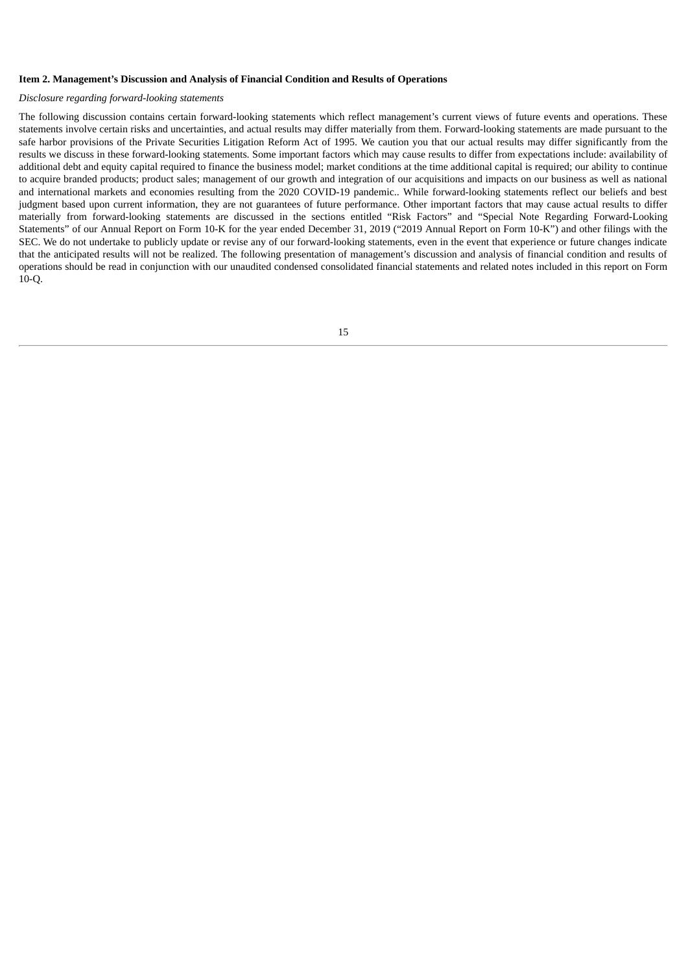#### **Item 2. Management's Discussion and Analysis of Financial Condition and Results of Operations**

#### *Disclosure regarding forward-looking statements*

The following discussion contains certain forward-looking statements which reflect management's current views of future events and operations. These statements involve certain risks and uncertainties, and actual results may differ materially from them. Forward-looking statements are made pursuant to the safe harbor provisions of the Private Securities Litigation Reform Act of 1995. We caution you that our actual results may differ significantly from the results we discuss in these forward-looking statements. Some important factors which may cause results to differ from expectations include: availability of additional debt and equity capital required to finance the business model; market conditions at the time additional capital is required; our ability to continue to acquire branded products; product sales; management of our growth and integration of our acquisitions and impacts on our business as well as national and international markets and economies resulting from the 2020 COVID-19 pandemic.. While forward-looking statements reflect our beliefs and best judgment based upon current information, they are not guarantees of future performance. Other important factors that may cause actual results to differ materially from forward-looking statements are discussed in the sections entitled "Risk Factors" and "Special Note Regarding Forward-Looking Statements" of our Annual Report on Form 10-K for the year ended December 31, 2019 ("2019 Annual Report on Form 10-K") and other filings with the SEC. We do not undertake to publicly update or revise any of our forward-looking statements, even in the event that experience or future changes indicate that the anticipated results will not be realized. The following presentation of management's discussion and analysis of financial condition and results of operations should be read in conjunction with our unaudited condensed consolidated financial statements and related notes included in this report on Form 10-Q.

15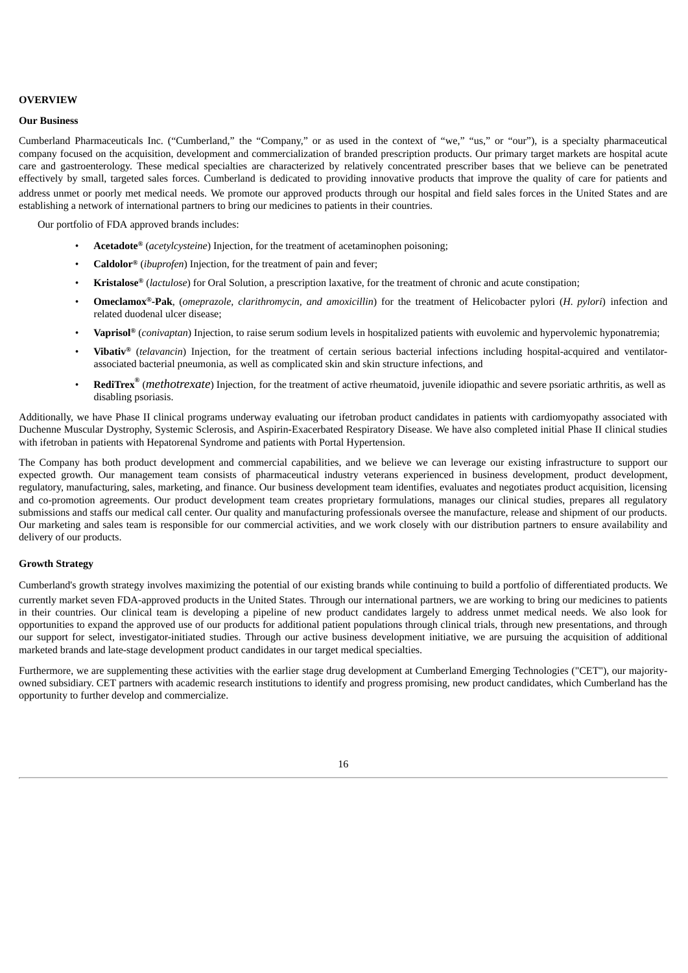#### **OVERVIEW**

### **Our Business**

Cumberland Pharmaceuticals Inc. ("Cumberland," the "Company," or as used in the context of "we," "us," or "our"), is a specialty pharmaceutical company focused on the acquisition, development and commercialization of branded prescription products. Our primary target markets are hospital acute care and gastroenterology. These medical specialties are characterized by relatively concentrated prescriber bases that we believe can be penetrated effectively by small, targeted sales forces. Cumberland is dedicated to providing innovative products that improve the quality of care for patients and address unmet or poorly met medical needs. We promote our approved products through our hospital and field sales forces in the United States and are establishing a network of international partners to bring our medicines to patients in their countries.

Our portfolio of FDA approved brands includes:

- **Acetadote®** (*acetylcysteine*) Injection, for the treatment of acetaminophen poisoning;
- **Caldolor®** (*ibuprofen*) Injection, for the treatment of pain and fever;
- **Kristalose®** (*lactulose*) for Oral Solution, a prescription laxative, for the treatment of chronic and acute constipation;
- **Omeclamox ®-Pak**, (*omeprazole, clarithromycin, and amoxicillin*) for the treatment of Helicobacter pylori (*H. pylori*) infection and related duodenal ulcer disease;
- **Vaprisol®** (*conivaptan*) Injection, to raise serum sodium levels in hospitalized patients with euvolemic and hypervolemic hyponatremia;
- **Vibativ ®** (*telavancin*) Injection, for the treatment of certain serious bacterial infections including hospital-acquired and ventilatorassociated bacterial pneumonia, as well as complicated skin and skin structure infections, and
- **RediTrex ®** (*methotrexate*) Injection, for the treatment of active rheumatoid, juvenile idiopathic and severe psoriatic arthritis, as well as disabling psoriasis.

Additionally, we have Phase II clinical programs underway evaluating our ifetroban product candidates in patients with cardiomyopathy associated with Duchenne Muscular Dystrophy, Systemic Sclerosis, and Aspirin-Exacerbated Respiratory Disease. We have also completed initial Phase II clinical studies with ifetroban in patients with Hepatorenal Syndrome and patients with Portal Hypertension.

The Company has both product development and commercial capabilities, and we believe we can leverage our existing infrastructure to support our expected growth. Our management team consists of pharmaceutical industry veterans experienced in business development, product development, regulatory, manufacturing, sales, marketing, and finance. Our business development team identifies, evaluates and negotiates product acquisition, licensing and co-promotion agreements. Our product development team creates proprietary formulations, manages our clinical studies, prepares all regulatory submissions and staffs our medical call center. Our quality and manufacturing professionals oversee the manufacture, release and shipment of our products. Our marketing and sales team is responsible for our commercial activities, and we work closely with our distribution partners to ensure availability and delivery of our products.

# **Growth Strategy**

Cumberland's growth strategy involves maximizing the potential of our existing brands while continuing to build a portfolio of differentiated products. We currently market seven FDA-approved products in the United States. Through our international partners, we are working to bring our medicines to patients in their countries. Our clinical team is developing a pipeline of new product candidates largely to address unmet medical needs. We also look for opportunities to expand the approved use of our products for additional patient populations through clinical trials, through new presentations, and through our support for select, investigator-initiated studies. Through our active business development initiative, we are pursuing the acquisition of additional marketed brands and late-stage development product candidates in our target medical specialties.

Furthermore, we are supplementing these activities with the earlier stage drug development at Cumberland Emerging Technologies ("CET"), our majorityowned subsidiary. CET partners with academic research institutions to identify and progress promising, new product candidates, which Cumberland has the opportunity to further develop and commercialize.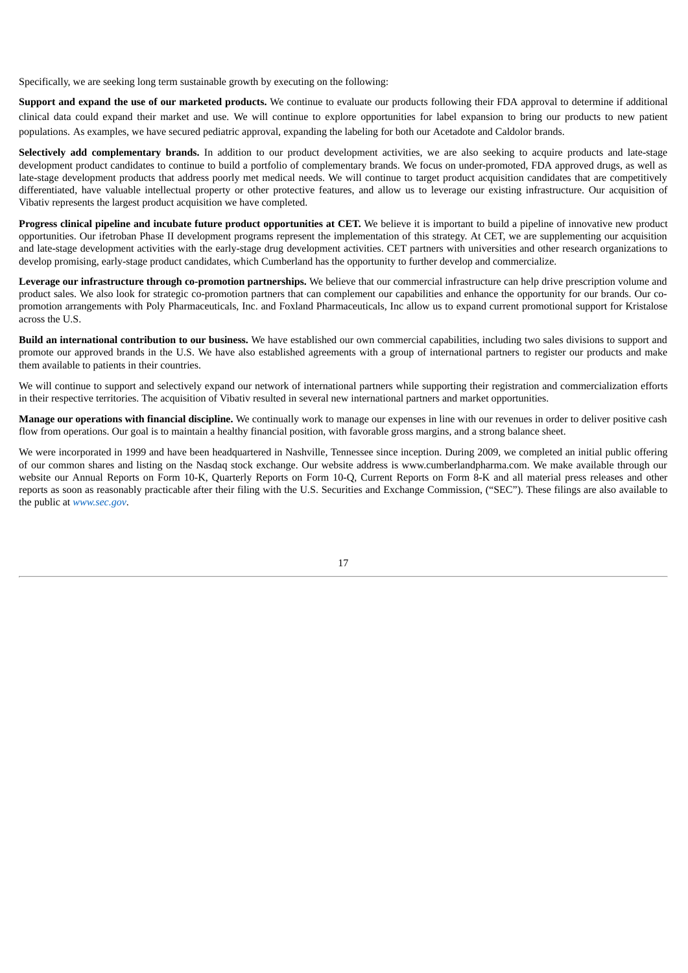Specifically, we are seeking long term sustainable growth by executing on the following:

**Support and expand the use of our marketed products.** We continue to evaluate our products following their FDA approval to determine if additional clinical data could expand their market and use. We will continue to explore opportunities for label expansion to bring our products to new patient populations. As examples, we have secured pediatric approval, expanding the labeling for both our Acetadote and Caldolor brands.

**Selectively add complementary brands.** In addition to our product development activities, we are also seeking to acquire products and late-stage development product candidates to continue to build a portfolio of complementary brands. We focus on under-promoted, FDA approved drugs, as well as late-stage development products that address poorly met medical needs. We will continue to target product acquisition candidates that are competitively differentiated, have valuable intellectual property or other protective features, and allow us to leverage our existing infrastructure. Our acquisition of Vibativ represents the largest product acquisition we have completed.

**Progress clinical pipeline and incubate future product opportunities at CET.** We believe it is important to build a pipeline of innovative new product opportunities. Our ifetroban Phase II development programs represent the implementation of this strategy. At CET, we are supplementing our acquisition and late-stage development activities with the early-stage drug development activities. CET partners with universities and other research organizations to develop promising, early-stage product candidates, which Cumberland has the opportunity to further develop and commercialize.

**Leverage our infrastructure through co-promotion partnerships.** We believe that our commercial infrastructure can help drive prescription volume and product sales. We also look for strategic co-promotion partners that can complement our capabilities and enhance the opportunity for our brands. Our copromotion arrangements with Poly Pharmaceuticals, Inc. and Foxland Pharmaceuticals, Inc allow us to expand current promotional support for Kristalose across the U.S.

**Build an international contribution to our business.** We have established our own commercial capabilities, including two sales divisions to support and promote our approved brands in the U.S. We have also established agreements with a group of international partners to register our products and make them available to patients in their countries.

We will continue to support and selectively expand our network of international partners while supporting their registration and commercialization efforts in their respective territories. The acquisition of Vibativ resulted in several new international partners and market opportunities.

**Manage our operations with financial discipline.** We continually work to manage our expenses in line with our revenues in order to deliver positive cash flow from operations. Our goal is to maintain a healthy financial position, with favorable gross margins, and a strong balance sheet.

We were incorporated in 1999 and have been headquartered in Nashville, Tennessee since inception. During 2009, we completed an initial public offering of our common shares and listing on the Nasdaq stock exchange. Our website address is www.cumberlandpharma.com. We make available through our website our Annual Reports on Form 10-K, Quarterly Reports on Form 10-Q, Current Reports on Form 8-K and all material press releases and other reports as soon as reasonably practicable after their filing with the U.S. Securities and Exchange Commission, ("SEC"). These filings are also available to the public at *www.sec.gov*.

17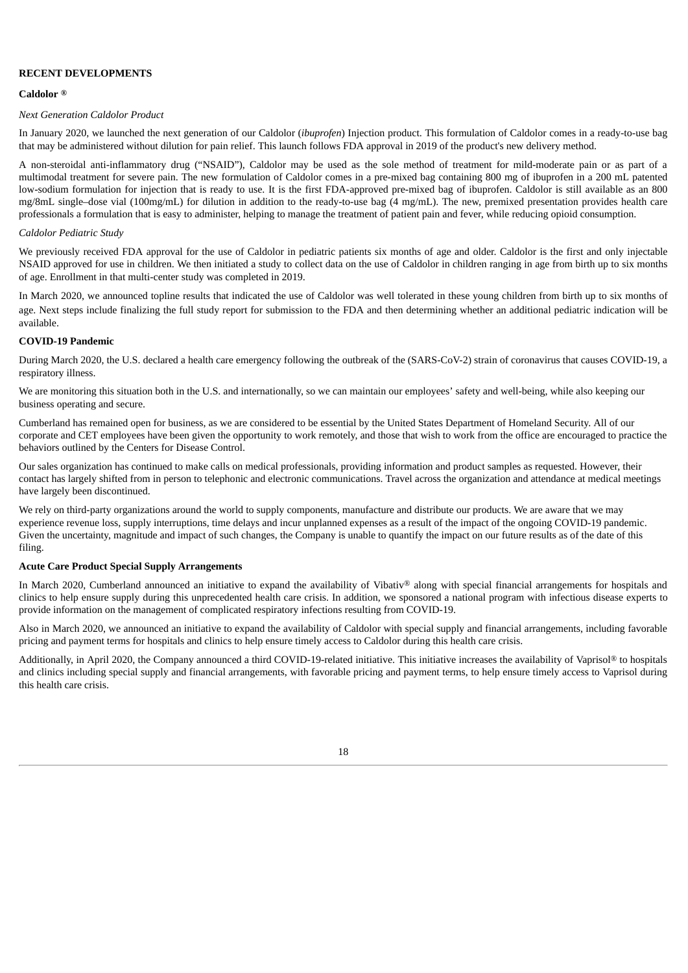## **RECENT DEVELOPMENTS**

#### **Caldolor ®**

#### *Next Generation Caldolor Product*

In January 2020, we launched the next generation of our Caldolor (*ibuprofen*) Injection product. This formulation of Caldolor comes in a ready-to-use bag that may be administered without dilution for pain relief. This launch follows FDA approval in 2019 of the product's new delivery method.

A non-steroidal anti-inflammatory drug ("NSAID"), Caldolor may be used as the sole method of treatment for mild-moderate pain or as part of a multimodal treatment for severe pain. The new formulation of Caldolor comes in a pre-mixed bag containing 800 mg of ibuprofen in a 200 mL patented low-sodium formulation for injection that is ready to use. It is the first FDA-approved pre-mixed bag of ibuprofen. Caldolor is still available as an 800 mg/8mL single–dose vial (100mg/mL) for dilution in addition to the ready-to-use bag (4 mg/mL). The new, premixed presentation provides health care professionals a formulation that is easy to administer, helping to manage the treatment of patient pain and fever, while reducing opioid consumption.

## *Caldolor Pediatric Study*

We previously received FDA approval for the use of Caldolor in pediatric patients six months of age and older. Caldolor is the first and only injectable NSAID approved for use in children. We then initiated a study to collect data on the use of Caldolor in children ranging in age from birth up to six months of age. Enrollment in that multi-center study was completed in 2019.

In March 2020, we announced topline results that indicated the use of Caldolor was well tolerated in these young children from birth up to six months of age. Next steps include finalizing the full study report for submission to the FDA and then determining whether an additional pediatric indication will be available.

### **COVID-19 Pandemic**

During March 2020, the U.S. declared a health care emergency following the outbreak of the (SARS-CoV-2) strain of coronavirus that causes COVID-19, a respiratory illness.

We are monitoring this situation both in the U.S. and internationally, so we can maintain our employees' safety and well-being, while also keeping our business operating and secure.

Cumberland has remained open for business, as we are considered to be essential by the United States Department of Homeland Security. All of our corporate and CET employees have been given the opportunity to work remotely, and those that wish to work from the office are encouraged to practice the behaviors outlined by the Centers for Disease Control.

Our sales organization has continued to make calls on medical professionals, providing information and product samples as requested. However, their contact has largely shifted from in person to telephonic and electronic communications. Travel across the organization and attendance at medical meetings have largely been discontinued.

We rely on third-party organizations around the world to supply components, manufacture and distribute our products. We are aware that we may experience revenue loss, supply interruptions, time delays and incur unplanned expenses as a result of the impact of the ongoing COVID-19 pandemic. Given the uncertainty, magnitude and impact of such changes, the Company is unable to quantify the impact on our future results as of the date of this filing.

#### **Acute Care Product Special Supply Arrangements**

In March 2020, Cumberland announced an initiative to expand the availability of Vibativ® along with special financial arrangements for hospitals and clinics to help ensure supply during this unprecedented health care crisis. In addition, we sponsored a national program with infectious disease experts to provide information on the management of complicated respiratory infections resulting from COVID-19.

Also in March 2020, we announced an initiative to expand the availability of Caldolor with special supply and financial arrangements, including favorable pricing and payment terms for hospitals and clinics to help ensure timely access to Caldolor during this health care crisis.

Additionally, in April 2020, the Company announced a third COVID-19-related initiative. This initiative increases the availability of Vaprisol® to hospitals and clinics including special supply and financial arrangements, with favorable pricing and payment terms, to help ensure timely access to Vaprisol during this health care crisis.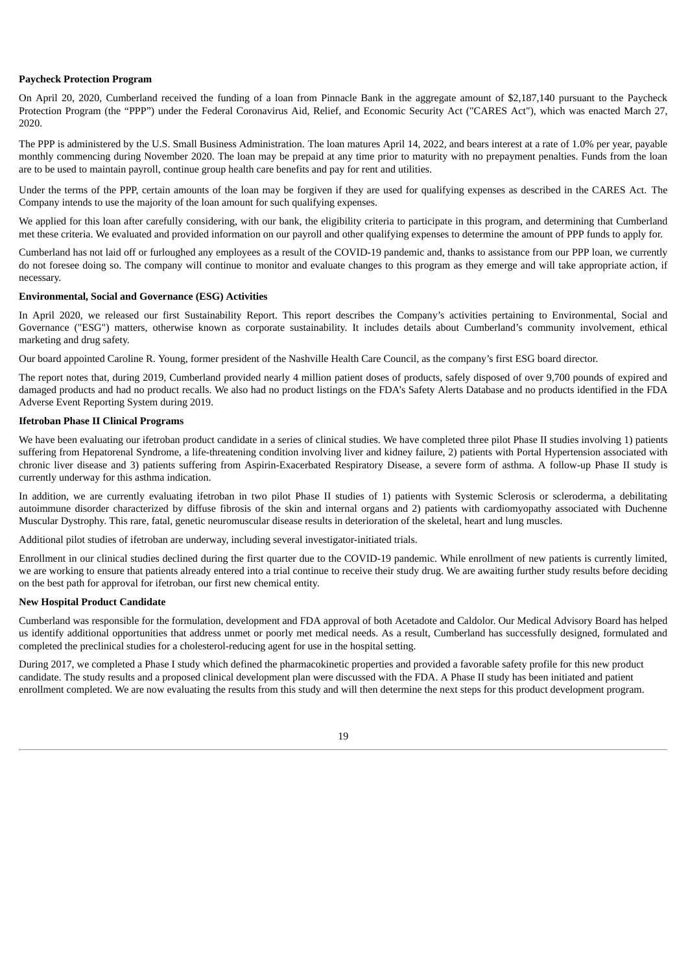#### **Paycheck Protection Program**

On April 20, 2020, Cumberland received the funding of a loan from Pinnacle Bank in the aggregate amount of \$2,187,140 pursuant to the Paycheck Protection Program (the "PPP") under the Federal Coronavirus Aid, Relief, and Economic Security Act ("CARES Act"), which was enacted March 27, 2020.

The PPP is administered by the U.S. Small Business Administration. The loan matures April 14, 2022, and bears interest at a rate of 1.0% per year, payable monthly commencing during November 2020. The loan may be prepaid at any time prior to maturity with no prepayment penalties. Funds from the loan are to be used to maintain payroll, continue group health care benefits and pay for rent and utilities.

Under the terms of the PPP, certain amounts of the loan may be forgiven if they are used for qualifying expenses as described in the CARES Act. The Company intends to use the majority of the loan amount for such qualifying expenses.

We applied for this loan after carefully considering, with our bank, the eligibility criteria to participate in this program, and determining that Cumberland met these criteria. We evaluated and provided information on our payroll and other qualifying expenses to determine the amount of PPP funds to apply for.

Cumberland has not laid off or furloughed any employees as a result of the COVID-19 pandemic and, thanks to assistance from our PPP loan, we currently do not foresee doing so. The company will continue to monitor and evaluate changes to this program as they emerge and will take appropriate action, if necessary.

## **Environmental, Social and Governance (ESG) Activities**

In April 2020, we released our first Sustainability Report. This report describes the Company's activities pertaining to Environmental, Social and Governance ("ESG") matters, otherwise known as corporate sustainability. It includes details about Cumberland's community involvement, ethical marketing and drug safety.

Our board appointed Caroline R. Young, former president of the Nashville Health Care Council, as the company's first ESG board director.

The report notes that, during 2019, Cumberland provided nearly 4 million patient doses of products, safely disposed of over 9,700 pounds of expired and damaged products and had no product recalls. We also had no product listings on the FDA's Safety Alerts Database and no products identified in the FDA Adverse Event Reporting System during 2019.

### **Ifetroban Phase II Clinical Programs**

We have been evaluating our ifetroban product candidate in a series of clinical studies. We have completed three pilot Phase II studies involving 1) patients suffering from Hepatorenal Syndrome, a life-threatening condition involving liver and kidney failure, 2) patients with Portal Hypertension associated with chronic liver disease and 3) patients suffering from Aspirin-Exacerbated Respiratory Disease, a severe form of asthma. A follow-up Phase II study is currently underway for this asthma indication.

In addition, we are currently evaluating ifetroban in two pilot Phase II studies of 1) patients with Systemic Sclerosis or scleroderma, a debilitating autoimmune disorder characterized by diffuse fibrosis of the skin and internal organs and 2) patients with cardiomyopathy associated with Duchenne Muscular Dystrophy. This rare, fatal, genetic neuromuscular disease results in deterioration of the skeletal, heart and lung muscles.

Additional pilot studies of ifetroban are underway, including several investigator-initiated trials.

Enrollment in our clinical studies declined during the first quarter due to the COVID-19 pandemic. While enrollment of new patients is currently limited, we are working to ensure that patients already entered into a trial continue to receive their study drug. We are awaiting further study results before deciding on the best path for approval for ifetroban, our first new chemical entity.

#### **New Hospital Product Candidate**

Cumberland was responsible for the formulation, development and FDA approval of both Acetadote and Caldolor. Our Medical Advisory Board has helped us identify additional opportunities that address unmet or poorly met medical needs. As a result, Cumberland has successfully designed, formulated and completed the preclinical studies for a cholesterol-reducing agent for use in the hospital setting.

During 2017, we completed a Phase I study which defined the pharmacokinetic properties and provided a favorable safety profile for this new product candidate. The study results and a proposed clinical development plan were discussed with the FDA. A Phase II study has been initiated and patient enrollment completed. We are now evaluating the results from this study and will then determine the next steps for this product development program.

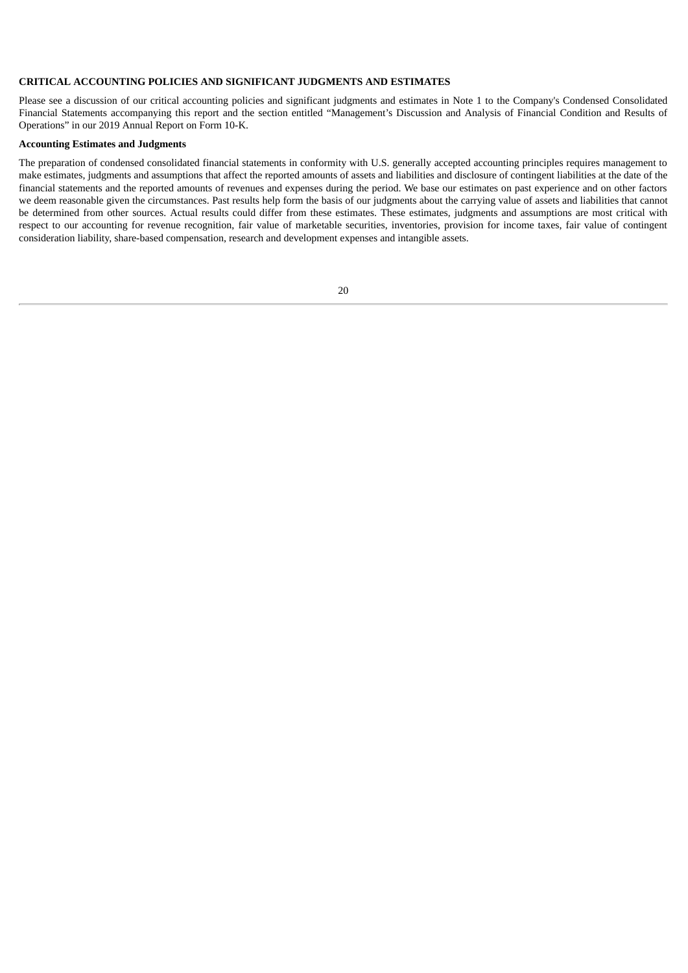## **CRITICAL ACCOUNTING POLICIES AND SIGNIFICANT JUDGMENTS AND ESTIMATES**

Please see a discussion of our critical accounting policies and significant judgments and estimates in Note 1 to the Company's Condensed Consolidated Financial Statements accompanying this report and the section entitled "Management's Discussion and Analysis of Financial Condition and Results of Operations" in our 2019 Annual Report on Form 10-K.

# **Accounting Estimates and Judgments**

The preparation of condensed consolidated financial statements in conformity with U.S. generally accepted accounting principles requires management to make estimates, judgments and assumptions that affect the reported amounts of assets and liabilities and disclosure of contingent liabilities at the date of the financial statements and the reported amounts of revenues and expenses during the period. We base our estimates on past experience and on other factors we deem reasonable given the circumstances. Past results help form the basis of our judgments about the carrying value of assets and liabilities that cannot be determined from other sources. Actual results could differ from these estimates. These estimates, judgments and assumptions are most critical with respect to our accounting for revenue recognition, fair value of marketable securities, inventories, provision for income taxes, fair value of contingent consideration liability, share-based compensation, research and development expenses and intangible assets.

| I | i<br>×<br>٧ |
|---|-------------|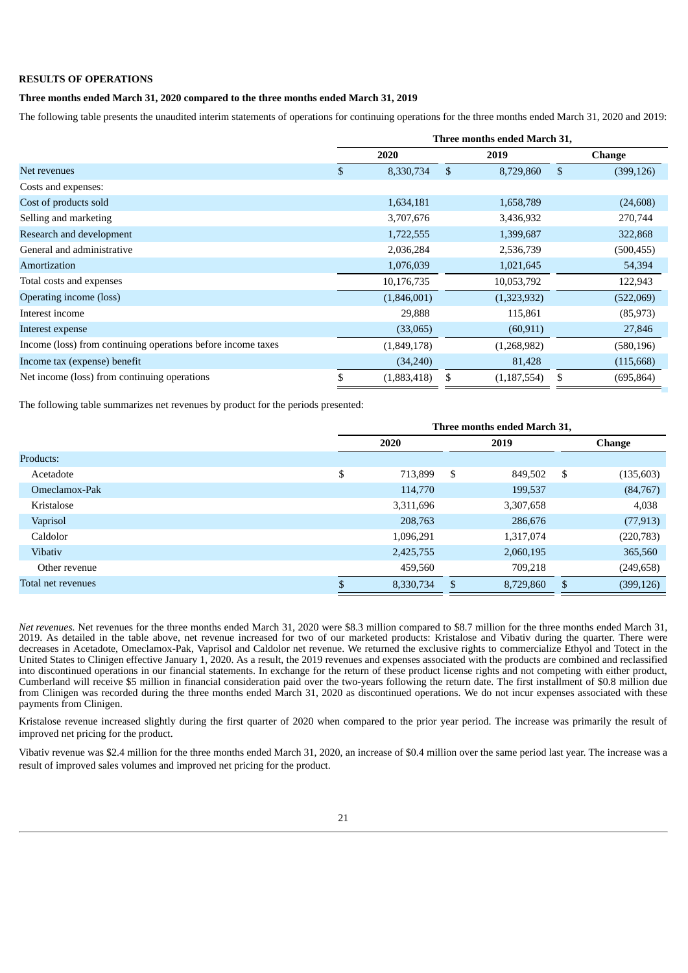## **RESULTS OF OPERATIONS**

# **Three months ended March 31, 2020 compared to the three months ended March 31, 2019**

The following table presents the unaudited interim statements of operations for continuing operations for the three months ended March 31, 2020 and 2019:

|                                                              | Three months ended March 31, |             |    |               |                |               |
|--------------------------------------------------------------|------------------------------|-------------|----|---------------|----------------|---------------|
|                                                              |                              | 2020        |    | 2019          |                | <b>Change</b> |
| Net revenues                                                 | \$                           | 8,330,734   | \$ | 8,729,860     | $\mathfrak{L}$ | (399, 126)    |
| Costs and expenses:                                          |                              |             |    |               |                |               |
| Cost of products sold                                        |                              | 1,634,181   |    | 1,658,789     |                | (24, 608)     |
| Selling and marketing                                        |                              | 3,707,676   |    | 3,436,932     |                | 270,744       |
| Research and development                                     |                              | 1,722,555   |    | 1,399,687     |                | 322,868       |
| General and administrative                                   |                              | 2,036,284   |    | 2,536,739     |                | (500, 455)    |
| Amortization                                                 |                              | 1,076,039   |    | 1,021,645     |                | 54,394        |
| Total costs and expenses                                     |                              | 10,176,735  |    | 10,053,792    |                | 122,943       |
| Operating income (loss)                                      |                              | (1,846,001) |    | (1,323,932)   |                | (522,069)     |
| Interest income                                              |                              | 29,888      |    | 115,861       |                | (85, 973)     |
| Interest expense                                             |                              | (33,065)    |    | (60, 911)     |                | 27,846        |
| Income (loss) from continuing operations before income taxes |                              | (1,849,178) |    | (1,268,982)   |                | (580, 196)    |
| Income tax (expense) benefit                                 |                              | (34,240)    |    | 81,428        |                | (115, 668)    |
| Net income (loss) from continuing operations                 | \$                           | (1,883,418) | \$ | (1, 187, 554) | \$             | (695, 864)    |

The following table summarizes net revenues by product for the periods presented:

|                    | Three months ended March 31, |           |    |           |    |            |
|--------------------|------------------------------|-----------|----|-----------|----|------------|
|                    |                              | 2020      |    | 2019      |    | Change     |
| Products:          |                              |           |    |           |    |            |
| Acetadote          | \$                           | 713,899   | \$ | 849,502   | \$ | (135,603)  |
| Omeclamox-Pak      |                              | 114,770   |    | 199,537   |    | (84,767)   |
| Kristalose         |                              | 3,311,696 |    | 3,307,658 |    | 4,038      |
| Vaprisol           |                              | 208,763   |    | 286,676   |    | (77, 913)  |
| Caldolor           |                              | 1,096,291 |    | 1,317,074 |    | (220, 783) |
| <b>Vibativ</b>     |                              | 2,425,755 |    | 2,060,195 |    | 365,560    |
| Other revenue      |                              | 459,560   |    | 709,218   |    | (249, 658) |
| Total net revenues |                              | 8,330,734 | \$ | 8,729,860 | \$ | (399, 126) |

*Net revenues.* Net revenues for the three months ended March 31, 2020 were \$8.3 million compared to \$8.7 million for the three months ended March 31, 2019. As detailed in the table above, net revenue increased for two of our marketed products: Kristalose and Vibativ during the quarter. There were decreases in Acetadote, Omeclamox-Pak, Vaprisol and Caldolor net revenue. We returned the exclusive rights to commercialize Ethyol and Totect in the United States to Clinigen effective January 1, 2020. As a result, the 2019 revenues and expenses associated with the products are combined and reclassified into discontinued operations in our financial statements. In exchange for the return of these product license rights and not competing with either product, Cumberland will receive \$5 million in financial consideration paid over the two-years following the return date. The first installment of \$0.8 million due from Clinigen was recorded during the three months ended March 31, 2020 as discontinued operations. We do not incur expenses associated with these payments from Clinigen.

Kristalose revenue increased slightly during the first quarter of 2020 when compared to the prior year period. The increase was primarily the result of improved net pricing for the product.

Vibativ revenue was \$2.4 million for the three months ended March 31, 2020, an increase of \$0.4 million over the same period last year. The increase was a result of improved sales volumes and improved net pricing for the product.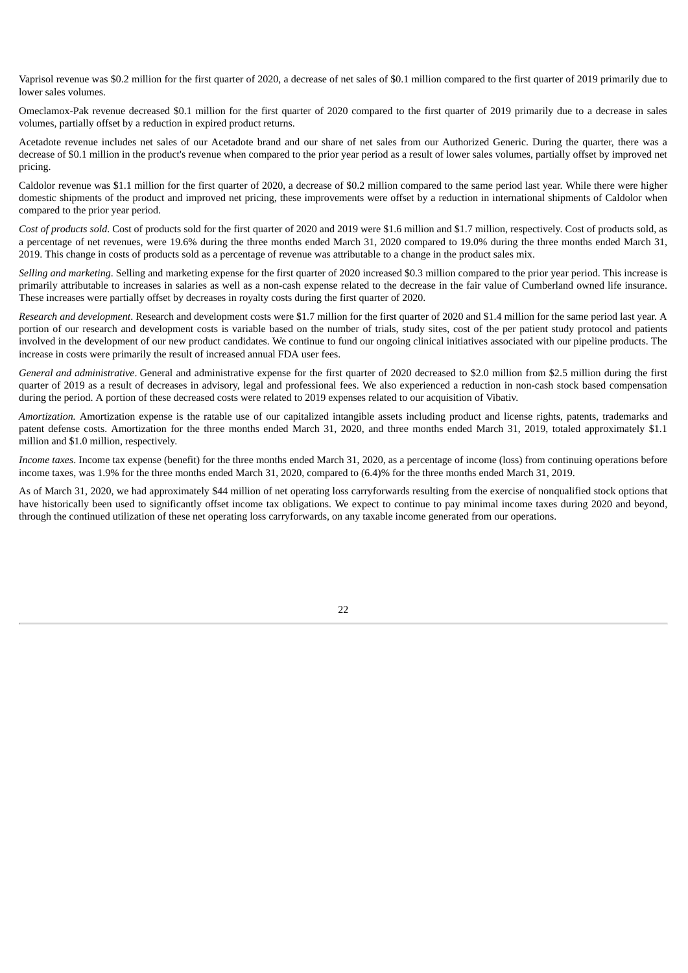Vaprisol revenue was \$0.2 million for the first quarter of 2020, a decrease of net sales of \$0.1 million compared to the first quarter of 2019 primarily due to lower sales volumes.

Omeclamox-Pak revenue decreased \$0.1 million for the first quarter of 2020 compared to the first quarter of 2019 primarily due to a decrease in sales volumes, partially offset by a reduction in expired product returns.

Acetadote revenue includes net sales of our Acetadote brand and our share of net sales from our Authorized Generic. During the quarter, there was a decrease of \$0.1 million in the product's revenue when compared to the prior year period as a result of lower sales volumes, partially offset by improved net pricing.

Caldolor revenue was \$1.1 million for the first quarter of 2020, a decrease of \$0.2 million compared to the same period last year. While there were higher domestic shipments of the product and improved net pricing, these improvements were offset by a reduction in international shipments of Caldolor when compared to the prior year period.

*Cost of products sold*. Cost of products sold for the first quarter of 2020 and 2019 were \$1.6 million and \$1.7 million, respectively. Cost of products sold, as a percentage of net revenues, were 19.6% during the three months ended March 31, 2020 compared to 19.0% during the three months ended March 31, 2019. This change in costs of products sold as a percentage of revenue was attributable to a change in the product sales mix.

*Selling and marketing*. Selling and marketing expense for the first quarter of 2020 increased \$0.3 million compared to the prior year period. This increase is primarily attributable to increases in salaries as well as a non-cash expense related to the decrease in the fair value of Cumberland owned life insurance. These increases were partially offset by decreases in royalty costs during the first quarter of 2020.

*Research and development*. Research and development costs were \$1.7 million for the first quarter of 2020 and \$1.4 million for the same period last year. A portion of our research and development costs is variable based on the number of trials, study sites, cost of the per patient study protocol and patients involved in the development of our new product candidates. We continue to fund our ongoing clinical initiatives associated with our pipeline products. The increase in costs were primarily the result of increased annual FDA user fees.

*General and administrative*. General and administrative expense for the first quarter of 2020 decreased to \$2.0 million from \$2.5 million during the first quarter of 2019 as a result of decreases in advisory, legal and professional fees. We also experienced a reduction in non-cash stock based compensation during the period. A portion of these decreased costs were related to 2019 expenses related to our acquisition of Vibativ.

*Amortization.* Amortization expense is the ratable use of our capitalized intangible assets including product and license rights, patents, trademarks and patent defense costs. Amortization for the three months ended March 31, 2020, and three months ended March 31, 2019, totaled approximately \$1.1 million and \$1.0 million, respectively.

*Income taxes*. Income tax expense (benefit) for the three months ended March 31, 2020, as a percentage of income (loss) from continuing operations before income taxes, was 1.9% for the three months ended March 31, 2020, compared to (6.4)% for the three months ended March 31, 2019.

As of March 31, 2020, we had approximately \$44 million of net operating loss carryforwards resulting from the exercise of nonqualified stock options that have historically been used to significantly offset income tax obligations. We expect to continue to pay minimal income taxes during 2020 and beyond, through the continued utilization of these net operating loss carryforwards, on any taxable income generated from our operations.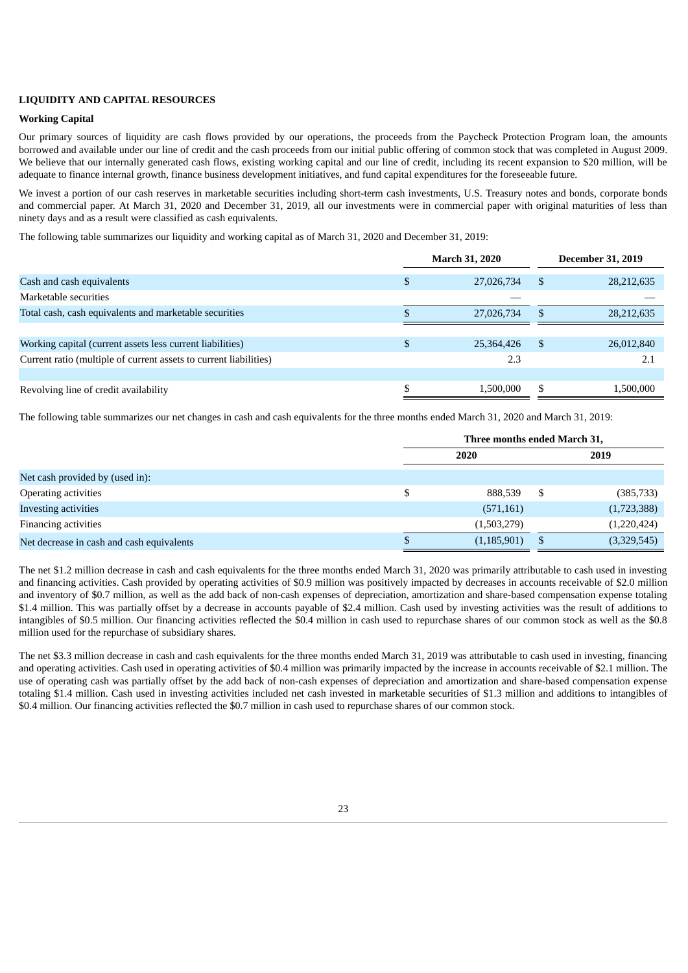#### **LIQUIDITY AND CAPITAL RESOURCES**

### **Working Capital**

Our primary sources of liquidity are cash flows provided by our operations, the proceeds from the Paycheck Protection Program loan, the amounts borrowed and available under our line of credit and the cash proceeds from our initial public offering of common stock that was completed in August 2009. We believe that our internally generated cash flows, existing working capital and our line of credit, including its recent expansion to \$20 million, will be adequate to finance internal growth, finance business development initiatives, and fund capital expenditures for the foreseeable future.

We invest a portion of our cash reserves in marketable securities including short-term cash investments, U.S. Treasury notes and bonds, corporate bonds and commercial paper. At March 31, 2020 and December 31, 2019, all our investments were in commercial paper with original maturities of less than ninety days and as a result were classified as cash equivalents.

The following table summarizes our liquidity and working capital as of March 31, 2020 and December 31, 2019:

|                                                                   |   | <b>March 31, 2020</b> |    | <b>December 31, 2019</b> |
|-------------------------------------------------------------------|---|-----------------------|----|--------------------------|
| Cash and cash equivalents                                         | D | 27,026,734            | -S | 28,212,635               |
| Marketable securities                                             |   |                       |    |                          |
| Total cash, cash equivalents and marketable securities            |   | 27,026,734            | .S | 28,212,635               |
|                                                                   |   |                       |    |                          |
| Working capital (current assets less current liabilities)         |   | 25,364,426            | -S | 26,012,840               |
| Current ratio (multiple of current assets to current liabilities) |   | 2.3                   |    | 2.1                      |
|                                                                   |   |                       |    |                          |
| Revolving line of credit availability                             |   | 1,500,000             | \$ | 1,500,000                |

The following table summarizes our net changes in cash and cash equivalents for the three months ended March 31, 2020 and March 31, 2019:

|                                           | Three months ended March 31, |               |    |             |  |
|-------------------------------------------|------------------------------|---------------|----|-------------|--|
|                                           | <b>2020</b>                  |               |    | 2019        |  |
| Net cash provided by (used in):           |                              |               |    |             |  |
| Operating activities                      |                              | 888,539       | -S | (385, 733)  |  |
| Investing activities                      |                              | (571, 161)    |    | (1,723,388) |  |
| Financing activities                      |                              | (1,503,279)   |    | (1,220,424) |  |
| Net decrease in cash and cash equivalents |                              | (1, 185, 901) | S  | (3,329,545) |  |

The net \$1.2 million decrease in cash and cash equivalents for the three months ended March 31, 2020 was primarily attributable to cash used in investing and financing activities. Cash provided by operating activities of \$0.9 million was positively impacted by decreases in accounts receivable of \$2.0 million and inventory of \$0.7 million, as well as the add back of non-cash expenses of depreciation, amortization and share-based compensation expense totaling \$1.4 million. This was partially offset by a decrease in accounts payable of \$2.4 million. Cash used by investing activities was the result of additions to intangibles of \$0.5 million. Our financing activities reflected the \$0.4 million in cash used to repurchase shares of our common stock as well as the \$0.8 million used for the repurchase of subsidiary shares.

The net \$3.3 million decrease in cash and cash equivalents for the three months ended March 31, 2019 was attributable to cash used in investing, financing and operating activities. Cash used in operating activities of \$0.4 million was primarily impacted by the increase in accounts receivable of \$2.1 million. The use of operating cash was partially offset by the add back of non-cash expenses of depreciation and amortization and share-based compensation expense totaling \$1.4 million. Cash used in investing activities included net cash invested in marketable securities of \$1.3 million and additions to intangibles of \$0.4 million. Our financing activities reflected the \$0.7 million in cash used to repurchase shares of our common stock.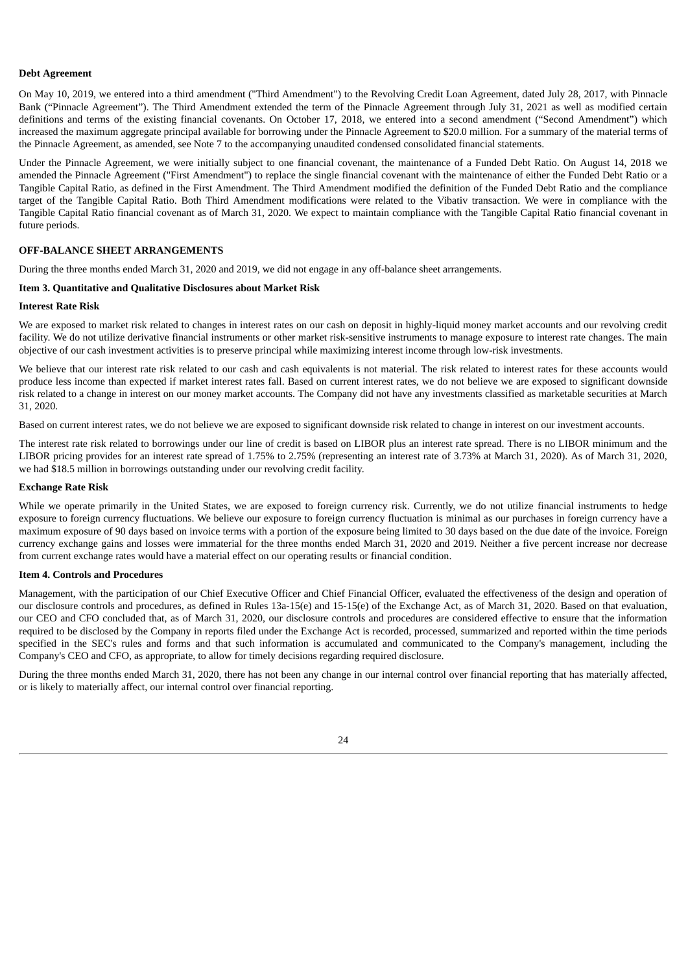#### **Debt Agreement**

On May 10, 2019, we entered into a third amendment ("Third Amendment") to the Revolving Credit Loan Agreement, dated July 28, 2017, with Pinnacle Bank ("Pinnacle Agreement"). The Third Amendment extended the term of the Pinnacle Agreement through July 31, 2021 as well as modified certain definitions and terms of the existing financial covenants. On October 17, 2018, we entered into a second amendment ("Second Amendment") which increased the maximum aggregate principal available for borrowing under the Pinnacle Agreement to \$20.0 million. For a summary of the material terms of the Pinnacle Agreement, as amended, see Note 7 to the accompanying unaudited condensed consolidated financial statements.

Under the Pinnacle Agreement, we were initially subject to one financial covenant, the maintenance of a Funded Debt Ratio. On August 14, 2018 we amended the Pinnacle Agreement ("First Amendment") to replace the single financial covenant with the maintenance of either the Funded Debt Ratio or a Tangible Capital Ratio, as defined in the First Amendment. The Third Amendment modified the definition of the Funded Debt Ratio and the compliance target of the Tangible Capital Ratio. Both Third Amendment modifications were related to the Vibativ transaction. We were in compliance with the Tangible Capital Ratio financial covenant as of March 31, 2020. We expect to maintain compliance with the Tangible Capital Ratio financial covenant in future periods.

# **OFF-BALANCE SHEET ARRANGEMENTS**

During the three months ended March 31, 2020 and 2019, we did not engage in any off-balance sheet arrangements.

# <span id="page-25-0"></span>**Item 3. Quantitative and Qualitative Disclosures about Market Risk**

#### **Interest Rate Risk**

We are exposed to market risk related to changes in interest rates on our cash on deposit in highly-liquid money market accounts and our revolving credit facility. We do not utilize derivative financial instruments or other market risk-sensitive instruments to manage exposure to interest rate changes. The main objective of our cash investment activities is to preserve principal while maximizing interest income through low-risk investments.

We believe that our interest rate risk related to our cash and cash equivalents is not material. The risk related to interest rates for these accounts would produce less income than expected if market interest rates fall. Based on current interest rates, we do not believe we are exposed to significant downside risk related to a change in interest on our money market accounts. The Company did not have any investments classified as marketable securities at March 31, 2020.

Based on current interest rates, we do not believe we are exposed to significant downside risk related to change in interest on our investment accounts.

The interest rate risk related to borrowings under our line of credit is based on LIBOR plus an interest rate spread. There is no LIBOR minimum and the LIBOR pricing provides for an interest rate spread of 1.75% to 2.75% (representing an interest rate of 3.73% at March 31, 2020). As of March 31, 2020, we had \$18.5 million in borrowings outstanding under our revolving credit facility.

### **Exchange Rate Risk**

While we operate primarily in the United States, we are exposed to foreign currency risk. Currently, we do not utilize financial instruments to hedge exposure to foreign currency fluctuations. We believe our exposure to foreign currency fluctuation is minimal as our purchases in foreign currency have a maximum exposure of 90 days based on invoice terms with a portion of the exposure being limited to 30 days based on the due date of the invoice. Foreign currency exchange gains and losses were immaterial for the three months ended March 31, 2020 and 2019. Neither a five percent increase nor decrease from current exchange rates would have a material effect on our operating results or financial condition.

## <span id="page-25-1"></span>**Item 4. Controls and Procedures**

Management, with the participation of our Chief Executive Officer and Chief Financial Officer, evaluated the effectiveness of the design and operation of our disclosure controls and procedures, as defined in Rules 13a-15(e) and 15-15(e) of the Exchange Act, as of March 31, 2020. Based on that evaluation, our CEO and CFO concluded that, as of March 31, 2020, our disclosure controls and procedures are considered effective to ensure that the information required to be disclosed by the Company in reports filed under the Exchange Act is recorded, processed, summarized and reported within the time periods specified in the SEC's rules and forms and that such information is accumulated and communicated to the Company's management, including the Company's CEO and CFO, as appropriate, to allow for timely decisions regarding required disclosure.

<span id="page-25-2"></span>During the three months ended March 31, 2020, there has not been any change in our internal control over financial reporting that has materially affected, or is likely to materially affect, our internal control over financial reporting.

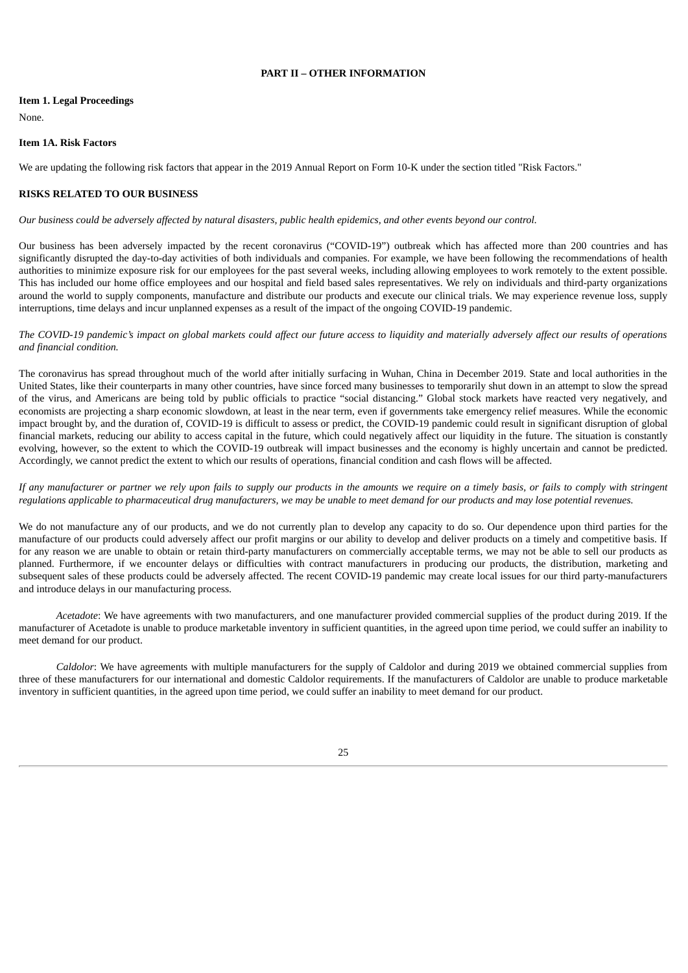# **PART II – OTHER INFORMATION**

## <span id="page-26-0"></span>**Item 1. Legal Proceedings**

<span id="page-26-1"></span>None.

#### **Item 1A. Risk Factors**

We are updating the following risk factors that appear in the 2019 Annual Report on Form 10-K under the section titled "Risk Factors."

## **RISKS RELATED TO OUR BUSINESS**

Our business could be adversely affected by natural disasters, public health epidemics, and other events beyond our control.

Our business has been adversely impacted by the recent coronavirus ("COVID-19") outbreak which has affected more than 200 countries and has significantly disrupted the day-to-day activities of both individuals and companies. For example, we have been following the recommendations of health authorities to minimize exposure risk for our employees for the past several weeks, including allowing employees to work remotely to the extent possible. This has included our home office employees and our hospital and field based sales representatives. We rely on individuals and third-party organizations around the world to supply components, manufacture and distribute our products and execute our clinical trials. We may experience revenue loss, supply interruptions, time delays and incur unplanned expenses as a result of the impact of the ongoing COVID-19 pandemic.

The COVID-19 pandemic's impact on global markets could affect our future access to liquidity and materially adversely affect our results of operations *and financial condition.*

The coronavirus has spread throughout much of the world after initially surfacing in Wuhan, China in December 2019. State and local authorities in the United States, like their counterparts in many other countries, have since forced many businesses to temporarily shut down in an attempt to slow the spread of the virus, and Americans are being told by public officials to practice "social distancing." Global stock markets have reacted very negatively, and economists are projecting a sharp economic slowdown, at least in the near term, even if governments take emergency relief measures. While the economic impact brought by, and the duration of, COVID-19 is difficult to assess or predict, the COVID-19 pandemic could result in significant disruption of global financial markets, reducing our ability to access capital in the future, which could negatively affect our liquidity in the future. The situation is constantly evolving, however, so the extent to which the COVID-19 outbreak will impact businesses and the economy is highly uncertain and cannot be predicted. Accordingly, we cannot predict the extent to which our results of operations, financial condition and cash flows will be affected.

If any manufacturer or partner we rely upon fails to supply our products in the amounts we require on a timely basis, or fails to comply with stringent regulations applicable to pharmaceutical drug manufacturers, we may be unable to meet demand for our products and may lose potential revenues.

We do not manufacture any of our products, and we do not currently plan to develop any capacity to do so. Our dependence upon third parties for the manufacture of our products could adversely affect our profit margins or our ability to develop and deliver products on a timely and competitive basis. If for any reason we are unable to obtain or retain third-party manufacturers on commercially acceptable terms, we may not be able to sell our products as planned. Furthermore, if we encounter delays or difficulties with contract manufacturers in producing our products, the distribution, marketing and subsequent sales of these products could be adversely affected. The recent COVID-19 pandemic may create local issues for our third party-manufacturers and introduce delays in our manufacturing process.

*Acetadote*: We have agreements with two manufacturers, and one manufacturer provided commercial supplies of the product during 2019. If the manufacturer of Acetadote is unable to produce marketable inventory in sufficient quantities, in the agreed upon time period, we could suffer an inability to meet demand for our product.

*Caldolor*: We have agreements with multiple manufacturers for the supply of Caldolor and during 2019 we obtained commercial supplies from three of these manufacturers for our international and domestic Caldolor requirements. If the manufacturers of Caldolor are unable to produce marketable inventory in sufficient quantities, in the agreed upon time period, we could suffer an inability to meet demand for our product.

25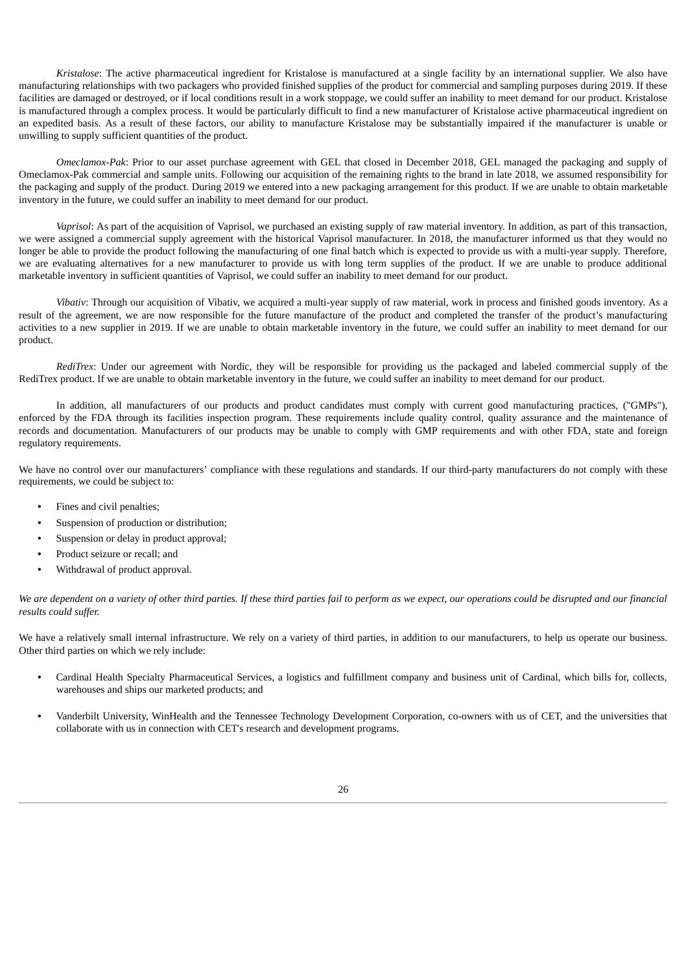*Kristalose*: The active pharmaceutical ingredient for Kristalose is manufactured at a single facility by an international supplier. We also have manufacturing relationships with two packagers who provided finished supplies of the product for commercial and sampling purposes during 2019. If these facilities are damaged or destroyed, or if local conditions result in a work stoppage, we could suffer an inability to meet demand for our product. Kristalose is manufactured through a complex process. It would be particularly difficult to find a new manufacturer of Kristalose active pharmaceutical ingredient on an expedited basis. As a result of these factors, our ability to manufacture Kristalose may be substantially impaired if the manufacturer is unable or unwilling to supply sufficient quantities of the product.

*Omeclamox-Pak*: Prior to our asset purchase agreement with GEL that closed in December 2018, GEL managed the packaging and supply of Omeclamox-Pak commercial and sample units. Following our acquisition of the remaining rights to the brand in late 2018, we assumed responsibility for the packaging and supply of the product. During 2019 we entered into a new packaging arrangement for this product. If we are unable to obtain marketable inventory in the future, we could suffer an inability to meet demand for our product.

*Vaprisol*: As part of the acquisition of Vaprisol, we purchased an existing supply of raw material inventory. In addition, as part of this transaction, we were assigned a commercial supply agreement with the historical Vaprisol manufacturer. In 2018, the manufacturer informed us that they would no longer be able to provide the product following the manufacturing of one final batch which is expected to provide us with a multi-year supply. Therefore, we are evaluating alternatives for a new manufacturer to provide us with long term supplies of the product. If we are unable to produce additional marketable inventory in sufficient quantities of Vaprisol, we could suffer an inability to meet demand for our product.

*Vibativ*: Through our acquisition of Vibativ, we acquired a multi-year supply of raw material, work in process and finished goods inventory. As a result of the agreement, we are now responsible for the future manufacture of the product and completed the transfer of the product's manufacturing activities to a new supplier in 2019. If we are unable to obtain marketable inventory in the future, we could suffer an inability to meet demand for our product.

*RediTrex*: Under our agreement with Nordic, they will be responsible for providing us the packaged and labeled commercial supply of the RediTrex product. If we are unable to obtain marketable inventory in the future, we could suffer an inability to meet demand for our product.

In addition, all manufacturers of our products and product candidates must comply with current good manufacturing practices, ("GMPs"), enforced by the FDA through its facilities inspection program. These requirements include quality control, quality assurance and the maintenance of records and documentation. Manufacturers of our products may be unable to comply with GMP requirements and with other FDA, state and foreign regulatory requirements.

We have no control over our manufacturers' compliance with these regulations and standards. If our third-party manufacturers do not comply with these requirements, we could be subject to:

- Fines and civil penalties;
- Suspension of production or distribution;
- Suspension or delay in product approval;
- Product seizure or recall; and
- Withdrawal of product approval.

We are dependent on a variety of other third parties. If these third parties fail to perform as we expect, our operations could be disrupted and our financial *results could suffer.*

We have a relatively small internal infrastructure. We rely on a variety of third parties, in addition to our manufacturers, to help us operate our business. Other third parties on which we rely include:

- Cardinal Health Specialty Pharmaceutical Services, a logistics and fulfillment company and business unit of Cardinal, which bills for, collects, warehouses and ships our marketed products; and
- Vanderbilt University, WinHealth and the Tennessee Technology Development Corporation, co-owners with us of CET, and the universities that collaborate with us in connection with CET's research and development programs.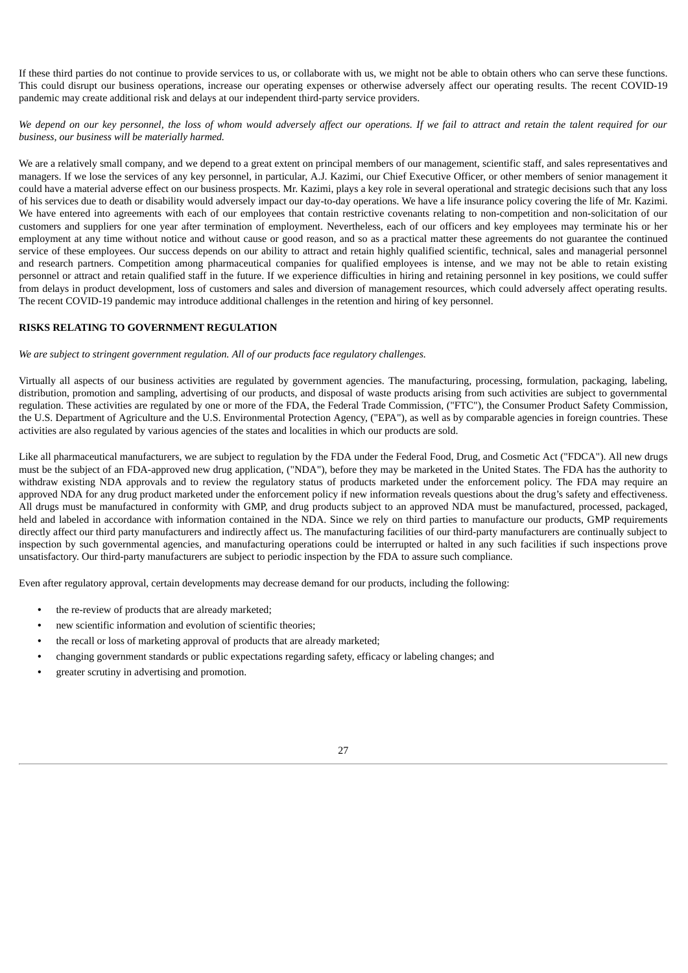If these third parties do not continue to provide services to us, or collaborate with us, we might not be able to obtain others who can serve these functions. This could disrupt our business operations, increase our operating expenses or otherwise adversely affect our operating results. The recent COVID-19 pandemic may create additional risk and delays at our independent third-party service providers.

We depend on our key personnel, the loss of whom would adversely affect our operations. If we fail to attract and retain the talent required for our *business, our business will be materially harmed.*

We are a relatively small company, and we depend to a great extent on principal members of our management, scientific staff, and sales representatives and managers. If we lose the services of any key personnel, in particular, A.J. Kazimi, our Chief Executive Officer, or other members of senior management it could have a material adverse effect on our business prospects. Mr. Kazimi, plays a key role in several operational and strategic decisions such that any loss of his services due to death or disability would adversely impact our day-to-day operations. We have a life insurance policy covering the life of Mr. Kazimi. We have entered into agreements with each of our employees that contain restrictive covenants relating to non-competition and non-solicitation of our customers and suppliers for one year after termination of employment. Nevertheless, each of our officers and key employees may terminate his or her employment at any time without notice and without cause or good reason, and so as a practical matter these agreements do not guarantee the continued service of these employees. Our success depends on our ability to attract and retain highly qualified scientific, technical, sales and managerial personnel and research partners. Competition among pharmaceutical companies for qualified employees is intense, and we may not be able to retain existing personnel or attract and retain qualified staff in the future. If we experience difficulties in hiring and retaining personnel in key positions, we could suffer from delays in product development, loss of customers and sales and diversion of management resources, which could adversely affect operating results. The recent COVID-19 pandemic may introduce additional challenges in the retention and hiring of key personnel.

# **RISKS RELATING TO GOVERNMENT REGULATION**

*We are subject to stringent government regulation. All of our products face regulatory challenges.*

Virtually all aspects of our business activities are regulated by government agencies. The manufacturing, processing, formulation, packaging, labeling, distribution, promotion and sampling, advertising of our products, and disposal of waste products arising from such activities are subject to governmental regulation. These activities are regulated by one or more of the FDA, the Federal Trade Commission, ("FTC"), the Consumer Product Safety Commission, the U.S. Department of Agriculture and the U.S. Environmental Protection Agency, ("EPA"), as well as by comparable agencies in foreign countries. These activities are also regulated by various agencies of the states and localities in which our products are sold.

Like all pharmaceutical manufacturers, we are subject to regulation by the FDA under the Federal Food, Drug, and Cosmetic Act ("FDCA"). All new drugs must be the subject of an FDA-approved new drug application, ("NDA"), before they may be marketed in the United States. The FDA has the authority to withdraw existing NDA approvals and to review the regulatory status of products marketed under the enforcement policy. The FDA may require an approved NDA for any drug product marketed under the enforcement policy if new information reveals questions about the drug's safety and effectiveness. All drugs must be manufactured in conformity with GMP, and drug products subject to an approved NDA must be manufactured, processed, packaged, held and labeled in accordance with information contained in the NDA. Since we rely on third parties to manufacture our products, GMP requirements directly affect our third party manufacturers and indirectly affect us. The manufacturing facilities of our third-party manufacturers are continually subject to inspection by such governmental agencies, and manufacturing operations could be interrupted or halted in any such facilities if such inspections prove unsatisfactory. Our third-party manufacturers are subject to periodic inspection by the FDA to assure such compliance.

Even after regulatory approval, certain developments may decrease demand for our products, including the following:

- the re-review of products that are already marketed;
- new scientific information and evolution of scientific theories;
- the recall or loss of marketing approval of products that are already marketed;
- changing government standards or public expectations regarding safety, efficacy or labeling changes; and
- greater scrutiny in advertising and promotion.

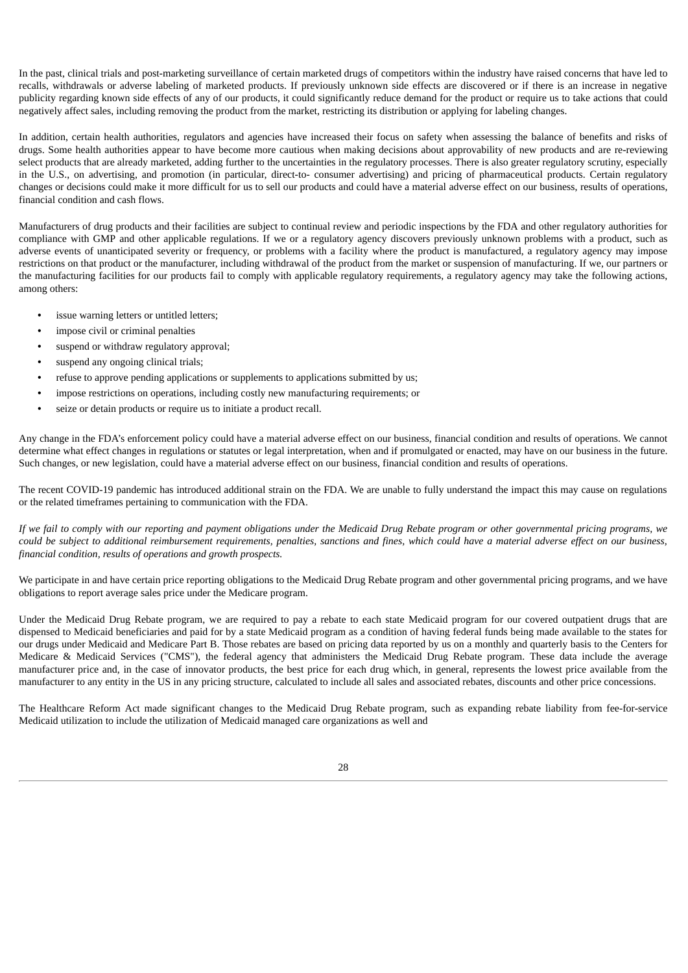In the past, clinical trials and post-marketing surveillance of certain marketed drugs of competitors within the industry have raised concerns that have led to recalls, withdrawals or adverse labeling of marketed products. If previously unknown side effects are discovered or if there is an increase in negative publicity regarding known side effects of any of our products, it could significantly reduce demand for the product or require us to take actions that could negatively affect sales, including removing the product from the market, restricting its distribution or applying for labeling changes.

In addition, certain health authorities, regulators and agencies have increased their focus on safety when assessing the balance of benefits and risks of drugs. Some health authorities appear to have become more cautious when making decisions about approvability of new products and are re-reviewing select products that are already marketed, adding further to the uncertainties in the regulatory processes. There is also greater regulatory scrutiny, especially in the U.S., on advertising, and promotion (in particular, direct-to- consumer advertising) and pricing of pharmaceutical products. Certain regulatory changes or decisions could make it more difficult for us to sell our products and could have a material adverse effect on our business, results of operations, financial condition and cash flows.

Manufacturers of drug products and their facilities are subject to continual review and periodic inspections by the FDA and other regulatory authorities for compliance with GMP and other applicable regulations. If we or a regulatory agency discovers previously unknown problems with a product, such as adverse events of unanticipated severity or frequency, or problems with a facility where the product is manufactured, a regulatory agency may impose restrictions on that product or the manufacturer, including withdrawal of the product from the market or suspension of manufacturing. If we, our partners or the manufacturing facilities for our products fail to comply with applicable regulatory requirements, a regulatory agency may take the following actions, among others:

- issue warning letters or untitled letters;
- impose civil or criminal penalties
- suspend or withdraw regulatory approval;
- suspend any ongoing clinical trials;
- refuse to approve pending applications or supplements to applications submitted by us;
- impose restrictions on operations, including costly new manufacturing requirements; or
- seize or detain products or require us to initiate a product recall.

Any change in the FDA's enforcement policy could have a material adverse effect on our business, financial condition and results of operations. We cannot determine what effect changes in regulations or statutes or legal interpretation, when and if promulgated or enacted, may have on our business in the future. Such changes, or new legislation, could have a material adverse effect on our business, financial condition and results of operations.

The recent COVID-19 pandemic has introduced additional strain on the FDA. We are unable to fully understand the impact this may cause on regulations or the related timeframes pertaining to communication with the FDA.

If we fail to comply with our reporting and payment obligations under the Medicaid Drug Rebate program or other governmental pricing programs, we could be subject to additional reimbursement requirements, penalties, sanctions and fines, which could have a material adverse effect on our business, *financial condition, results of operations and growth prospects.*

We participate in and have certain price reporting obligations to the Medicaid Drug Rebate program and other governmental pricing programs, and we have obligations to report average sales price under the Medicare program.

Under the Medicaid Drug Rebate program, we are required to pay a rebate to each state Medicaid program for our covered outpatient drugs that are dispensed to Medicaid beneficiaries and paid for by a state Medicaid program as a condition of having federal funds being made available to the states for our drugs under Medicaid and Medicare Part B. Those rebates are based on pricing data reported by us on a monthly and quarterly basis to the Centers for Medicare & Medicaid Services ("CMS"), the federal agency that administers the Medicaid Drug Rebate program. These data include the average manufacturer price and, in the case of innovator products, the best price for each drug which, in general, represents the lowest price available from the manufacturer to any entity in the US in any pricing structure, calculated to include all sales and associated rebates, discounts and other price concessions.

The Healthcare Reform Act made significant changes to the Medicaid Drug Rebate program, such as expanding rebate liability from fee-for-service Medicaid utilization to include the utilization of Medicaid managed care organizations as well and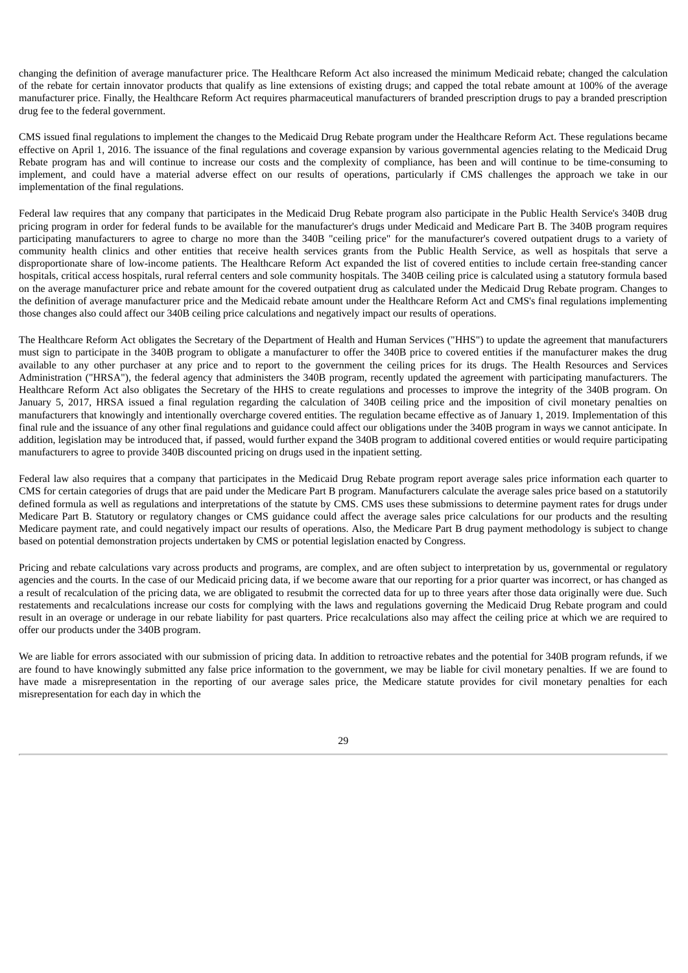changing the definition of average manufacturer price. The Healthcare Reform Act also increased the minimum Medicaid rebate; changed the calculation of the rebate for certain innovator products that qualify as line extensions of existing drugs; and capped the total rebate amount at 100% of the average manufacturer price. Finally, the Healthcare Reform Act requires pharmaceutical manufacturers of branded prescription drugs to pay a branded prescription drug fee to the federal government.

CMS issued final regulations to implement the changes to the Medicaid Drug Rebate program under the Healthcare Reform Act. These regulations became effective on April 1, 2016. The issuance of the final regulations and coverage expansion by various governmental agencies relating to the Medicaid Drug Rebate program has and will continue to increase our costs and the complexity of compliance, has been and will continue to be time-consuming to implement, and could have a material adverse effect on our results of operations, particularly if CMS challenges the approach we take in our implementation of the final regulations.

Federal law requires that any company that participates in the Medicaid Drug Rebate program also participate in the Public Health Service's 340B drug pricing program in order for federal funds to be available for the manufacturer's drugs under Medicaid and Medicare Part B. The 340B program requires participating manufacturers to agree to charge no more than the 340B "ceiling price" for the manufacturer's covered outpatient drugs to a variety of community health clinics and other entities that receive health services grants from the Public Health Service, as well as hospitals that serve a disproportionate share of low-income patients. The Healthcare Reform Act expanded the list of covered entities to include certain free-standing cancer hospitals, critical access hospitals, rural referral centers and sole community hospitals. The 340B ceiling price is calculated using a statutory formula based on the average manufacturer price and rebate amount for the covered outpatient drug as calculated under the Medicaid Drug Rebate program. Changes to the definition of average manufacturer price and the Medicaid rebate amount under the Healthcare Reform Act and CMS's final regulations implementing those changes also could affect our 340B ceiling price calculations and negatively impact our results of operations.

The Healthcare Reform Act obligates the Secretary of the Department of Health and Human Services ("HHS") to update the agreement that manufacturers must sign to participate in the 340B program to obligate a manufacturer to offer the 340B price to covered entities if the manufacturer makes the drug available to any other purchaser at any price and to report to the government the ceiling prices for its drugs. The Health Resources and Services Administration ("HRSA"), the federal agency that administers the 340B program, recently updated the agreement with participating manufacturers. The Healthcare Reform Act also obligates the Secretary of the HHS to create regulations and processes to improve the integrity of the 340B program. On January 5, 2017, HRSA issued a final regulation regarding the calculation of 340B ceiling price and the imposition of civil monetary penalties on manufacturers that knowingly and intentionally overcharge covered entities. The regulation became effective as of January 1, 2019. Implementation of this final rule and the issuance of any other final regulations and guidance could affect our obligations under the 340B program in ways we cannot anticipate. In addition, legislation may be introduced that, if passed, would further expand the 340B program to additional covered entities or would require participating manufacturers to agree to provide 340B discounted pricing on drugs used in the inpatient setting.

Federal law also requires that a company that participates in the Medicaid Drug Rebate program report average sales price information each quarter to CMS for certain categories of drugs that are paid under the Medicare Part B program. Manufacturers calculate the average sales price based on a statutorily defined formula as well as regulations and interpretations of the statute by CMS. CMS uses these submissions to determine payment rates for drugs under Medicare Part B. Statutory or regulatory changes or CMS guidance could affect the average sales price calculations for our products and the resulting Medicare payment rate, and could negatively impact our results of operations. Also, the Medicare Part B drug payment methodology is subject to change based on potential demonstration projects undertaken by CMS or potential legislation enacted by Congress.

Pricing and rebate calculations vary across products and programs, are complex, and are often subject to interpretation by us, governmental or regulatory agencies and the courts. In the case of our Medicaid pricing data, if we become aware that our reporting for a prior quarter was incorrect, or has changed as a result of recalculation of the pricing data, we are obligated to resubmit the corrected data for up to three years after those data originally were due. Such restatements and recalculations increase our costs for complying with the laws and regulations governing the Medicaid Drug Rebate program and could result in an overage or underage in our rebate liability for past quarters. Price recalculations also may affect the ceiling price at which we are required to offer our products under the 340B program.

We are liable for errors associated with our submission of pricing data. In addition to retroactive rebates and the potential for 340B program refunds, if we are found to have knowingly submitted any false price information to the government, we may be liable for civil monetary penalties. If we are found to have made a misrepresentation in the reporting of our average sales price, the Medicare statute provides for civil monetary penalties for each misrepresentation for each day in which the

 $29$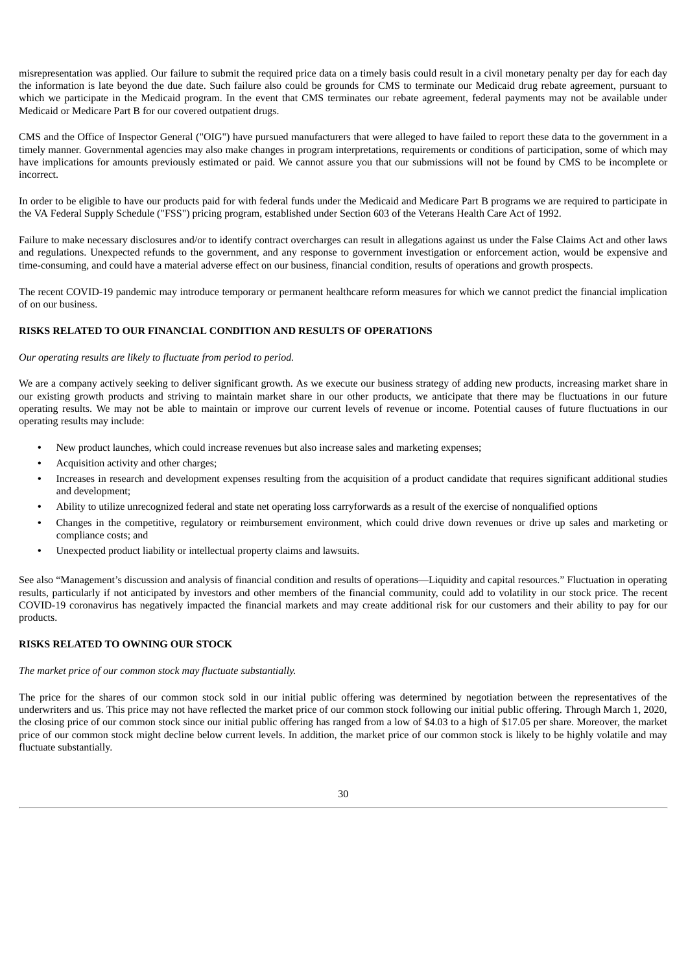misrepresentation was applied. Our failure to submit the required price data on a timely basis could result in a civil monetary penalty per day for each day the information is late beyond the due date. Such failure also could be grounds for CMS to terminate our Medicaid drug rebate agreement, pursuant to which we participate in the Medicaid program. In the event that CMS terminates our rebate agreement, federal payments may not be available under Medicaid or Medicare Part B for our covered outpatient drugs.

CMS and the Office of Inspector General ("OIG") have pursued manufacturers that were alleged to have failed to report these data to the government in a timely manner. Governmental agencies may also make changes in program interpretations, requirements or conditions of participation, some of which may have implications for amounts previously estimated or paid. We cannot assure you that our submissions will not be found by CMS to be incomplete or incorrect.

In order to be eligible to have our products paid for with federal funds under the Medicaid and Medicare Part B programs we are required to participate in the VA Federal Supply Schedule ("FSS") pricing program, established under Section 603 of the Veterans Health Care Act of 1992.

Failure to make necessary disclosures and/or to identify contract overcharges can result in allegations against us under the False Claims Act and other laws and regulations. Unexpected refunds to the government, and any response to government investigation or enforcement action, would be expensive and time-consuming, and could have a material adverse effect on our business, financial condition, results of operations and growth prospects.

The recent COVID-19 pandemic may introduce temporary or permanent healthcare reform measures for which we cannot predict the financial implication of on our business.

# **RISKS RELATED TO OUR FINANCIAL CONDITION AND RESULTS OF OPERATIONS**

### *Our operating results are likely to fluctuate from period to period.*

We are a company actively seeking to deliver significant growth. As we execute our business strategy of adding new products, increasing market share in our existing growth products and striving to maintain market share in our other products, we anticipate that there may be fluctuations in our future operating results. We may not be able to maintain or improve our current levels of revenue or income. Potential causes of future fluctuations in our operating results may include:

- New product launches, which could increase revenues but also increase sales and marketing expenses;
- Acquisition activity and other charges;
- Increases in research and development expenses resulting from the acquisition of a product candidate that requires significant additional studies and development;
- Ability to utilize unrecognized federal and state net operating loss carryforwards as a result of the exercise of nonqualified options
- Changes in the competitive, regulatory or reimbursement environment, which could drive down revenues or drive up sales and marketing or compliance costs; and
- Unexpected product liability or intellectual property claims and lawsuits.

See also "Management's discussion and analysis of financial condition and results of operations—Liquidity and capital resources." Fluctuation in operating results, particularly if not anticipated by investors and other members of the financial community, could add to volatility in our stock price. The recent COVID-19 coronavirus has negatively impacted the financial markets and may create additional risk for our customers and their ability to pay for our products.

# **RISKS RELATED TO OWNING OUR STOCK**

#### *The market price of our common stock may fluctuate substantially.*

The price for the shares of our common stock sold in our initial public offering was determined by negotiation between the representatives of the underwriters and us. This price may not have reflected the market price of our common stock following our initial public offering. Through March 1, 2020, the closing price of our common stock since our initial public offering has ranged from a low of \$4.03 to a high of \$17.05 per share. Moreover, the market price of our common stock might decline below current levels. In addition, the market price of our common stock is likely to be highly volatile and may fluctuate substantially.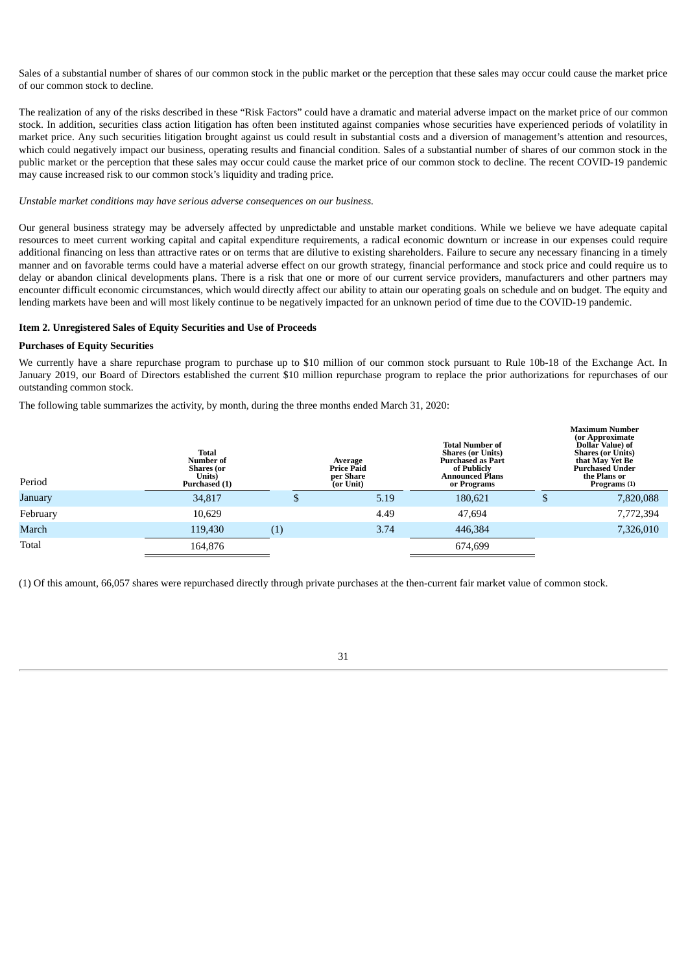Sales of a substantial number of shares of our common stock in the public market or the perception that these sales may occur could cause the market price of our common stock to decline.

The realization of any of the risks described in these "Risk Factors" could have a dramatic and material adverse impact on the market price of our common stock. In addition, securities class action litigation has often been instituted against companies whose securities have experienced periods of volatility in market price. Any such securities litigation brought against us could result in substantial costs and a diversion of management's attention and resources, which could negatively impact our business, operating results and financial condition. Sales of a substantial number of shares of our common stock in the public market or the perception that these sales may occur could cause the market price of our common stock to decline. The recent COVID-19 pandemic may cause increased risk to our common stock's liquidity and trading price.

*Unstable market conditions may have serious adverse consequences on our business.*

Our general business strategy may be adversely affected by unpredictable and unstable market conditions. While we believe we have adequate capital resources to meet current working capital and capital expenditure requirements, a radical economic downturn or increase in our expenses could require additional financing on less than attractive rates or on terms that are dilutive to existing shareholders. Failure to secure any necessary financing in a timely manner and on favorable terms could have a material adverse effect on our growth strategy, financial performance and stock price and could require us to delay or abandon clinical developments plans. There is a risk that one or more of our current service providers, manufacturers and other partners may encounter difficult economic circumstances, which would directly affect our ability to attain our operating goals on schedule and on budget. The equity and lending markets have been and will most likely continue to be negatively impacted for an unknown period of time due to the COVID-19 pandemic.

### <span id="page-32-0"></span>**Item 2. Unregistered Sales of Equity Securities and Use of Proceeds**

#### **Purchases of Equity Securities**

We currently have a share repurchase program to purchase up to \$10 million of our common stock pursuant to Rule 10b-18 of the Exchange Act. In January 2019, our Board of Directors established the current \$10 million repurchase program to replace the prior authorizations for repurchases of our outstanding common stock.

The following table summarizes the activity, by month, during the three months ended March 31, 2020:

| Period   | Total<br>Number of<br>Shares (or<br>Units)<br>Purchased (1) |     | Average<br><b>Price Paid</b><br>per Share<br>(or Unit) | <b>Total Number of</b><br><b>Shares (or Units)</b><br><b>Purchased as Part</b><br>of Publicly<br>Announced Plans<br>or Programs |   | <b>Maximum Number</b><br>(or Approximate<br>Dollar Value) of<br><b>Shares (or Units)</b><br>that May Yet Be<br><b>Purchased Under</b><br>the Plans or<br>Programs (1) |
|----------|-------------------------------------------------------------|-----|--------------------------------------------------------|---------------------------------------------------------------------------------------------------------------------------------|---|-----------------------------------------------------------------------------------------------------------------------------------------------------------------------|
| January  | 34,817                                                      | Ф   | 5.19                                                   | 180,621                                                                                                                         | Φ | 7,820,088                                                                                                                                                             |
| February | 10,629                                                      |     | 4.49                                                   | 47,694                                                                                                                          |   | 7,772,394                                                                                                                                                             |
| March    | 119,430                                                     | (1) | 3.74                                                   | 446,384                                                                                                                         |   | 7,326,010                                                                                                                                                             |
| Total    | 164,876                                                     |     |                                                        | 674,699                                                                                                                         |   |                                                                                                                                                                       |

<span id="page-32-1"></span>(1) Of this amount, 66,057 shares were repurchased directly through private purchases at the then-current fair market value of common stock.

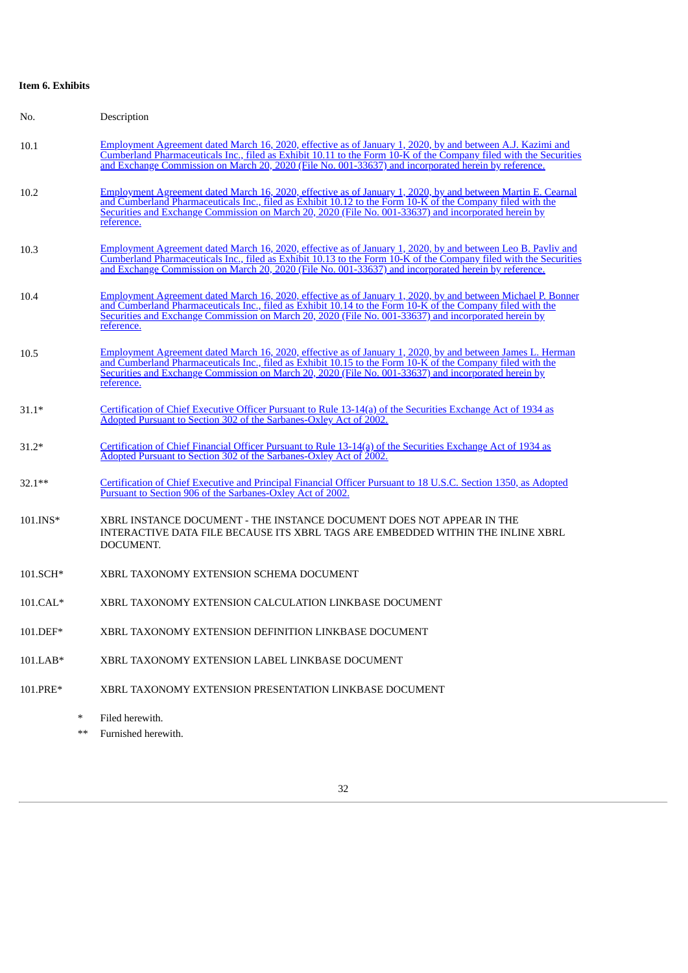# **Item 6. Exhibits**

| No.        | Description                                                                                                                                                                                                                                                                                                                                      |
|------------|--------------------------------------------------------------------------------------------------------------------------------------------------------------------------------------------------------------------------------------------------------------------------------------------------------------------------------------------------|
| 10.1       | Employment Agreement dated March 16, 2020, effective as of January 1, 2020, by and between A.J. Kazimi and<br>Cumberland Pharmaceuticals Inc., filed as Exhibit 10.11 to the Form 10-K of the Company filed with the Securities<br>and Exchange Commission on March 20, 2020 (File No. 001-33637) and incorporated herein by reference.          |
| 10.2       | Employment Agreement dated March 16, 2020, effective as of January 1, 2020, by and between Martin E. Cearnal<br>and Cumberland Pharmaceuticals Inc., filed as Exhibit 10.12 to the Form 10-K of the Company filed with the<br>Securities and Exchange Commission on March 20, 2020 (File No. 001-33637) and incorporated herein by<br>reference. |
| 10.3       | Employment Agreement dated March 16, 2020, effective as of January 1, 2020, by and between Leo B. Pavliv and<br>Cumberland Pharmaceuticals Inc., filed as Exhibit 10.13 to the Form 10-K of the Company filed with the Securities<br>and Exchange Commission on March 20, 2020 (File No. 001-33637) and incorporated herein by reference.        |
| 10.4       | Employment Agreement dated March 16, 2020, effective as of January 1, 2020, by and between Michael P. Bonner<br>and Cumberland Pharmaceuticals Inc., filed as Exhibit 10.14 to the Form 10-K of the Company filed with the<br>Securities and Exchange Commission on March 20, 2020 (File No. 001-33637) and incorporated herein by<br>reference. |
| 10.5       | Employment Agreement dated March 16, 2020, effective as of January 1, 2020, by and between James L. Herman<br>and Cumberland Pharmaceuticals Inc., filed as Exhibit 10.15 to the Form 10-K of the Company filed with the<br>Securities and Exchange Commission on March 20, 2020 (File No. 001-33637) and incorporated herein by<br>reference.   |
| $31.1*$    | Certification of Chief Executive Officer Pursuant to Rule 13-14(a) of the Securities Exchange Act of 1934 as<br>Adopted Pursuant to Section 302 of the Sarbanes-Oxley Act of 2002.                                                                                                                                                               |
| $31.2*$    | Certification of Chief Financial Officer Pursuant to Rule 13-14(a) of the Securities Exchange Act of 1934 as<br>Adopted Pursuant to Section 302 of the Sarbanes-Oxley Act of 2002.                                                                                                                                                               |
| $32.1**$   | Certification of Chief Executive and Principal Financial Officer Pursuant to 18 U.S.C. Section 1350, as Adopted<br>Pursuant to Section 906 of the Sarbanes-Oxley Act of 2002.                                                                                                                                                                    |
| 101.INS*   | XBRL INSTANCE DOCUMENT - THE INSTANCE DOCUMENT DOES NOT APPEAR IN THE<br>INTERACTIVE DATA FILE BECAUSE ITS XBRL TAGS ARE EMBEDDED WITHIN THE INLINE XBRL<br>DOCUMENT.                                                                                                                                                                            |
| 101.SCH*   | XBRL TAXONOMY EXTENSION SCHEMA DOCUMENT                                                                                                                                                                                                                                                                                                          |
| $101.CAL*$ | XBRL TAXONOMY EXTENSION CALCULATION LINKBASE DOCUMENT                                                                                                                                                                                                                                                                                            |
| 101.DEF*   | XBRL TAXONOMY EXTENSION DEFINITION LINKBASE DOCUMENT                                                                                                                                                                                                                                                                                             |
| $101.LAB*$ | XBRL TAXONOMY EXTENSION LABEL LINKBASE DOCUMENT                                                                                                                                                                                                                                                                                                  |
| 101.PRE*   | XBRL TAXONOMY EXTENSION PRESENTATION LINKBASE DOCUMENT                                                                                                                                                                                                                                                                                           |
| $\ast$     | Filed herewith.                                                                                                                                                                                                                                                                                                                                  |

\*\* Furnished herewith.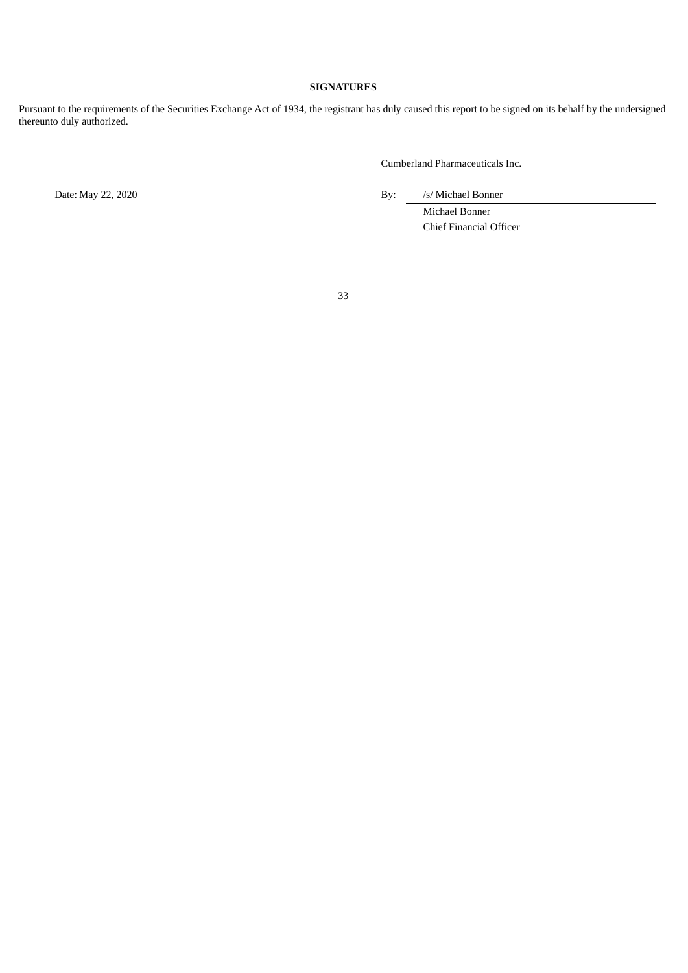# **SIGNATURES**

<span id="page-34-0"></span>Pursuant to the requirements of the Securities Exchange Act of 1934, the registrant has duly caused this report to be signed on its behalf by the undersigned thereunto duly authorized.

Cumberland Pharmaceuticals Inc.

Date: May 22, 2020 By: /s/ Michael Bonner

Michael Bonner Chief Financial Officer

33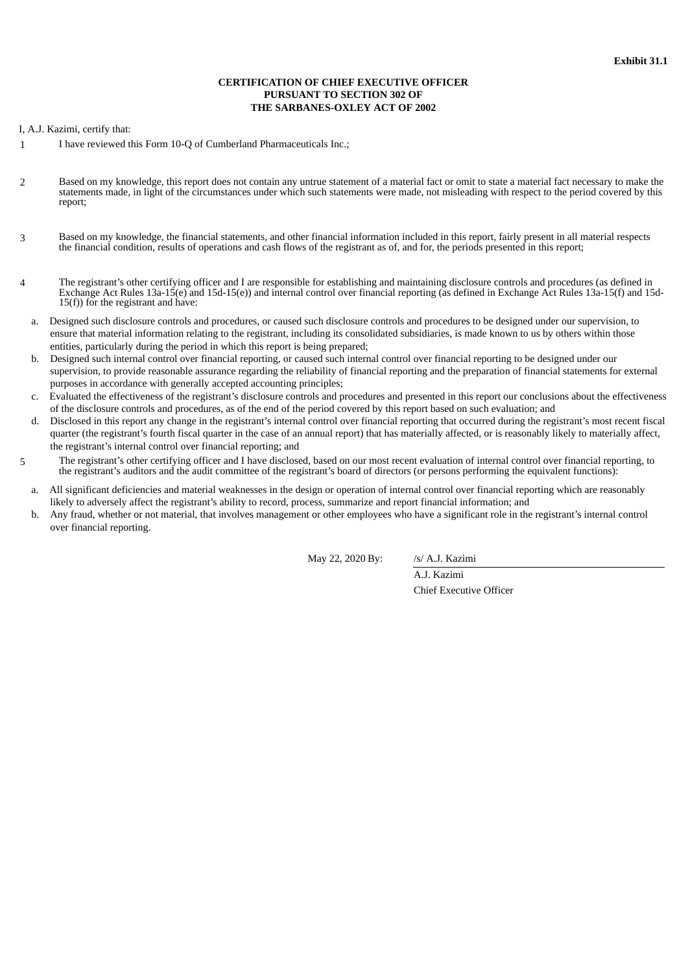# **CERTIFICATION OF CHIEF EXECUTIVE OFFICER PURSUANT TO SECTION 302 OF THE SARBANES-OXLEY ACT OF 2002**

<span id="page-35-0"></span>I, A.J. Kazimi, certify that:

- 1 I have reviewed this Form 10-Q of Cumberland Pharmaceuticals Inc.;
- 2 Based on my knowledge, this report does not contain any untrue statement of a material fact or omit to state a material fact necessary to make the statements made, in light of the circumstances under which such statements were made, not misleading with respect to the period covered by this report;
- 3 Based on my knowledge, the financial statements, and other financial information included in this report, fairly present in all material respects the financial condition, results of operations and cash flows of the registrant as of, and for, the periods presented in this report;
- 4 The registrant's other certifying officer and I are responsible for establishing and maintaining disclosure controls and procedures (as defined in Exchange Act Rules 13a-15(e) and 15d-15(e)) and internal control over financial reporting (as defined in Exchange Act Rules 13a-15(f) and 15d- $15(f)$ ) for the registrant and have:
	- a. Designed such disclosure controls and procedures, or caused such disclosure controls and procedures to be designed under our supervision, to ensure that material information relating to the registrant, including its consolidated subsidiaries, is made known to us by others within those entities, particularly during the period in which this report is being prepared;
	- b. Designed such internal control over financial reporting, or caused such internal control over financial reporting to be designed under our supervision, to provide reasonable assurance regarding the reliability of financial reporting and the preparation of financial statements for external purposes in accordance with generally accepted accounting principles;
	- c. Evaluated the effectiveness of the registrant's disclosure controls and procedures and presented in this report our conclusions about the effectiveness of the disclosure controls and procedures, as of the end of the period covered by this report based on such evaluation; and
	- d. Disclosed in this report any change in the registrant's internal control over financial reporting that occurred during the registrant's most recent fiscal quarter (the registrant's fourth fiscal quarter in the case of an annual report) that has materially affected, or is reasonably likely to materially affect, the registrant's internal control over financial reporting; and
- 5 The registrant's other certifying officer and I have disclosed, based on our most recent evaluation of internal control over financial reporting, to the registrant's auditors and the audit committee of the registrant's board of directors (or persons performing the equivalent functions):
	- a. All significant deficiencies and material weaknesses in the design or operation of internal control over financial reporting which are reasonably likely to adversely affect the registrant's ability to record, process, summarize and report financial information; and
	- b. Any fraud, whether or not material, that involves management or other employees who have a significant role in the registrant's internal control over financial reporting.

May 22, 2020 By: /s/ A.J. Kazimi

A.J. Kazimi Chief Executive Officer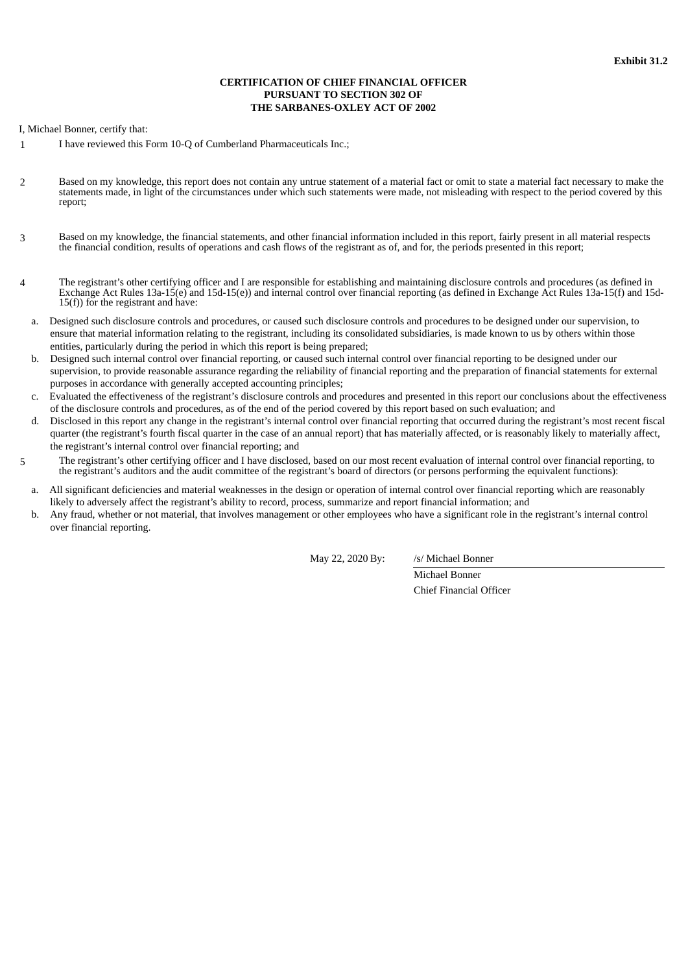# **CERTIFICATION OF CHIEF FINANCIAL OFFICER PURSUANT TO SECTION 302 OF THE SARBANES-OXLEY ACT OF 2002**

<span id="page-36-0"></span>I, Michael Bonner, certify that:

- 1 I have reviewed this Form 10-Q of Cumberland Pharmaceuticals Inc.;
- 2 Based on my knowledge, this report does not contain any untrue statement of a material fact or omit to state a material fact necessary to make the statements made, in light of the circumstances under which such statements were made, not misleading with respect to the period covered by this report;
- 3 Based on my knowledge, the financial statements, and other financial information included in this report, fairly present in all material respects the financial condition, results of operations and cash flows of the registrant as of, and for, the periods presented in this report;
- 4 The registrant's other certifying officer and I are responsible for establishing and maintaining disclosure controls and procedures (as defined in Exchange Act Rules 13a-15(e) and 15d-15(e)) and internal control over financial reporting (as defined in Exchange Act Rules 13a-15(f) and 15d-15(f)) for the registrant and have:
	- a. Designed such disclosure controls and procedures, or caused such disclosure controls and procedures to be designed under our supervision, to ensure that material information relating to the registrant, including its consolidated subsidiaries, is made known to us by others within those entities, particularly during the period in which this report is being prepared;
	- b. Designed such internal control over financial reporting, or caused such internal control over financial reporting to be designed under our supervision, to provide reasonable assurance regarding the reliability of financial reporting and the preparation of financial statements for external purposes in accordance with generally accepted accounting principles;
	- c. Evaluated the effectiveness of the registrant's disclosure controls and procedures and presented in this report our conclusions about the effectiveness of the disclosure controls and procedures, as of the end of the period covered by this report based on such evaluation; and
	- d. Disclosed in this report any change in the registrant's internal control over financial reporting that occurred during the registrant's most recent fiscal quarter (the registrant's fourth fiscal quarter in the case of an annual report) that has materially affected, or is reasonably likely to materially affect, the registrant's internal control over financial reporting; and
- 5 The registrant's other certifying officer and I have disclosed, based on our most recent evaluation of internal control over financial reporting, to the registrant's auditors and the audit committee of the registrant's board of directors (or persons performing the equivalent functions):
	- a. All significant deficiencies and material weaknesses in the design or operation of internal control over financial reporting which are reasonably likely to adversely affect the registrant's ability to record, process, summarize and report financial information; and
	- b. Any fraud, whether or not material, that involves management or other employees who have a significant role in the registrant's internal control over financial reporting.

May 22, 2020 By: /s/ Michael Bonner

Michael Bonner Chief Financial Officer